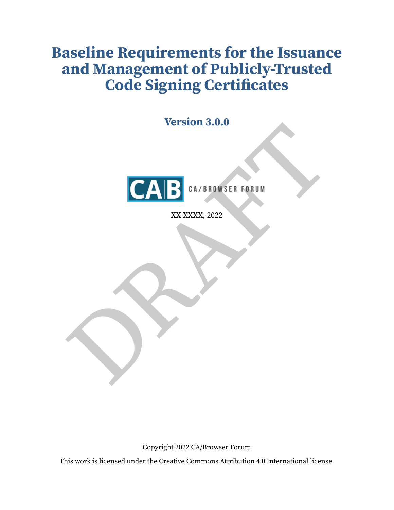# <span id="page-0-0"></span>**Baseline Requirements for the Issuance and Management of Publicly‐Trusted Code Signing Certificates**

**Version 3.0.0**



XX XXXX, 2022

Copyright 2022 CA/Browser Forum

This work is licensed under the Creative Commons Attribution 4.0 International license.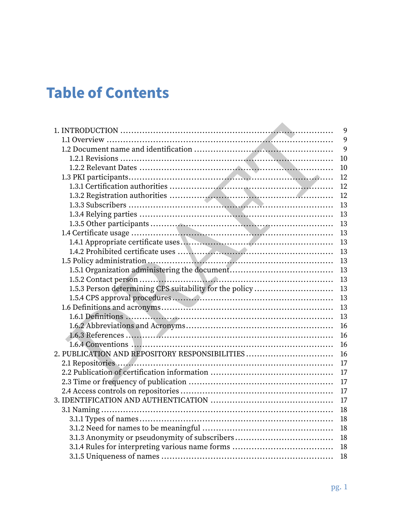# **Table of Contents**

|                                                         | 9  |
|---------------------------------------------------------|----|
|                                                         | 9  |
|                                                         | 9  |
|                                                         | 10 |
|                                                         | 10 |
|                                                         | 12 |
|                                                         | 12 |
|                                                         | 12 |
|                                                         | 13 |
|                                                         | 13 |
|                                                         | 13 |
|                                                         | 13 |
|                                                         | 13 |
|                                                         | 13 |
|                                                         | 13 |
|                                                         | 13 |
|                                                         | 13 |
| 1.5.3 Person determining CPS suitability for the policy | 13 |
|                                                         | 13 |
|                                                         | 13 |
|                                                         | 13 |
|                                                         | 16 |
|                                                         | 16 |
|                                                         | 16 |
| 2. PUBLICATION AND REPOSITORY RESPONSIBILITIES          | 16 |
|                                                         | 17 |
|                                                         | 17 |
|                                                         | 17 |
|                                                         | 17 |
|                                                         | 17 |
|                                                         | 18 |
|                                                         | 18 |
|                                                         | 18 |
| 3.1.3 Anonymity or pseudonymity of subscribers          | 18 |
|                                                         | 18 |
|                                                         | 18 |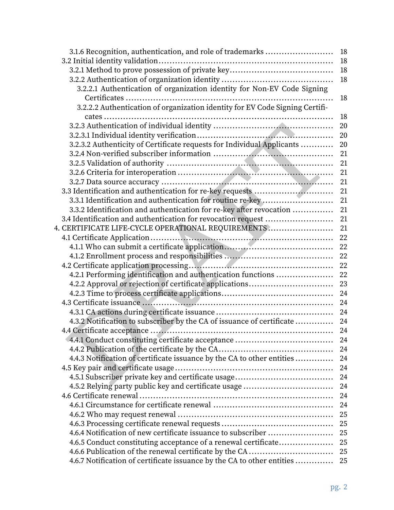| 3.1.6 Recognition, authentication, and role of trademarks                    | 18 |
|------------------------------------------------------------------------------|----|
|                                                                              | 18 |
|                                                                              | 18 |
|                                                                              | 18 |
| 3.2.2.1 Authentication of organization identity for Non-EV Code Signing      |    |
|                                                                              | 18 |
| 3.2.2.2 Authentication of organization identity for EV Code Signing Certifi- |    |
|                                                                              | 18 |
|                                                                              | 20 |
|                                                                              | 20 |
| 3.2.3.2 Authenticity of Certificate requests for Individual Applicants       | 20 |
|                                                                              | 21 |
|                                                                              | 21 |
|                                                                              | 21 |
|                                                                              | 21 |
|                                                                              | 21 |
| 3.3.1 Identification and authentication for routine re-key                   | 21 |
| 3.3.2 Identification and authentication for re-key after revocation          | 21 |
| 3.4 Identification and authentication for revocation request                 | 21 |
| 4. CERTIFICATE LIFE-CYCLE OPERATIONAL REQUIREMENTS                           | 21 |
|                                                                              | 22 |
|                                                                              | 22 |
|                                                                              | 22 |
|                                                                              | 22 |
| 4.2.1 Performing identification and authentication functions                 | 22 |
| 4.2.2 Approval or rejection of certificate applications                      | 23 |
|                                                                              | 24 |
|                                                                              | 24 |
|                                                                              | 24 |
| 4.3.2 Notification to subscriber by the CA of issuance of certificate        | 24 |
|                                                                              | 24 |
|                                                                              | 24 |
|                                                                              | 24 |
| 4.4.3 Notification of certificate issuance by the CA to other entities       | 24 |
|                                                                              | 24 |
|                                                                              | 24 |
| 4.5.2 Relying party public key and certificate usage                         | 24 |
|                                                                              | 24 |
|                                                                              | 24 |
|                                                                              | 25 |
|                                                                              | 25 |
| 4.6.4 Notification of new certificate issuance to subscriber                 | 25 |
| 4.6.5 Conduct constituting acceptance of a renewal certificate               | 25 |
|                                                                              | 25 |
| 4.6.7 Notification of certificate issuance by the CA to other entities       | 25 |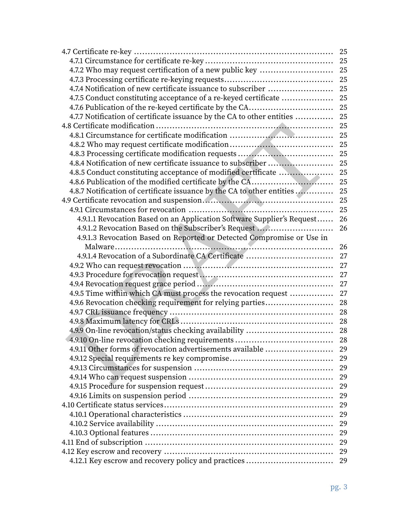|                                                                        | 25 |
|------------------------------------------------------------------------|----|
|                                                                        | 25 |
| 4.7.2 Who may request certification of a new public key                | 25 |
|                                                                        | 25 |
| 4.7.4 Notification of new certificate issuance to subscriber           | 25 |
| 4.7.5 Conduct constituting acceptance of a re-keyed certificate        | 25 |
| 4.7.6 Publication of the re-keyed certificate by the CA                | 25 |
| 4.7.7 Notification of certificate issuance by the CA to other entities | 25 |
|                                                                        | 25 |
| 4.8.1 Circumstance for certificate modification                        | 25 |
|                                                                        | 25 |
|                                                                        | 25 |
|                                                                        | 25 |
| 4.8.5 Conduct constituting acceptance of modified certificate          | 25 |
|                                                                        | 25 |
| 4.8.7 Notification of certificate issuance by the CA to other entities | 25 |
|                                                                        | 25 |
|                                                                        | 25 |
| 4.9.1.1 Revocation Based on an Application Software Supplier's Request | 26 |
| 4.9.1.2 Revocation Based on the Subscriber's Request                   | 26 |
| 4.9.1.3 Revocation Based on Reported or Detected Compromise or Use in  |    |
|                                                                        | 26 |
| 4.9.1.4 Revocation of a Subordinate CA Certificate                     | 27 |
|                                                                        | 27 |
|                                                                        | 27 |
|                                                                        | 27 |
| 4.9.5 Time within which CA must process the revocation request         | 27 |
| 4.9.6 Revocation checking requirement for relying parties              | 28 |
|                                                                        | 28 |
|                                                                        | 28 |
|                                                                        | 28 |
|                                                                        | 28 |
| 4.9.11 Other forms of revocation advertisements available              | 29 |
|                                                                        | 29 |
|                                                                        | 29 |
|                                                                        | 29 |
|                                                                        | 29 |
|                                                                        | 29 |
|                                                                        | 29 |
|                                                                        | 29 |
|                                                                        | 29 |
|                                                                        | 29 |
|                                                                        | 29 |
|                                                                        | 29 |
|                                                                        | 29 |
|                                                                        |    |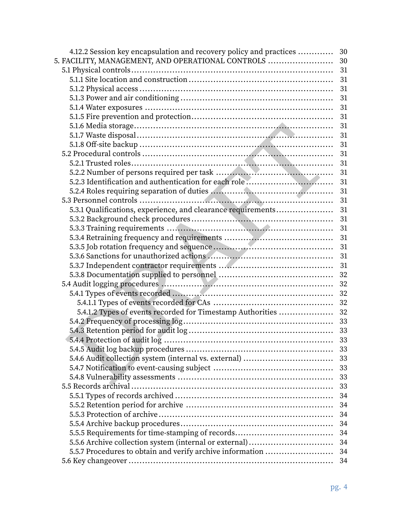| 4.12.2 Session key encapsulation and recovery policy and practices | 30 |
|--------------------------------------------------------------------|----|
| 5. FACILITY, MANAGEMENT, AND OPERATIONAL CONTROLS                  | 30 |
|                                                                    | 31 |
|                                                                    | 31 |
|                                                                    | 31 |
|                                                                    | 31 |
|                                                                    | 31 |
|                                                                    | 31 |
|                                                                    | 31 |
|                                                                    | 31 |
|                                                                    | 31 |
|                                                                    | 31 |
|                                                                    | 31 |
|                                                                    | 31 |
|                                                                    | 31 |
|                                                                    | 31 |
|                                                                    | 31 |
| 5.3.1 Qualifications, experience, and clearance requirements       | 31 |
|                                                                    | 31 |
|                                                                    | 31 |
|                                                                    | 31 |
|                                                                    | 31 |
|                                                                    | 31 |
|                                                                    | 31 |
|                                                                    | 32 |
|                                                                    | 32 |
|                                                                    |    |
|                                                                    | 32 |
| 5.4.1.2 Types of events recorded for Timestamp Authorities         | 32 |
|                                                                    | 33 |
|                                                                    |    |
|                                                                    | 33 |
|                                                                    | 33 |
| 5.4.6 Audit collection system (internal vs. external)              | 33 |
|                                                                    | 33 |
|                                                                    | 33 |
|                                                                    | 33 |
|                                                                    | 34 |
|                                                                    | 34 |
|                                                                    | 34 |
|                                                                    | 34 |
| 5.5.5 Requirements for time-stamping of records                    | 34 |
| 5.5.6 Archive collection system (internal or external)             | 34 |
| 5.5.7 Procedures to obtain and verify archive information          | 34 |
|                                                                    | 34 |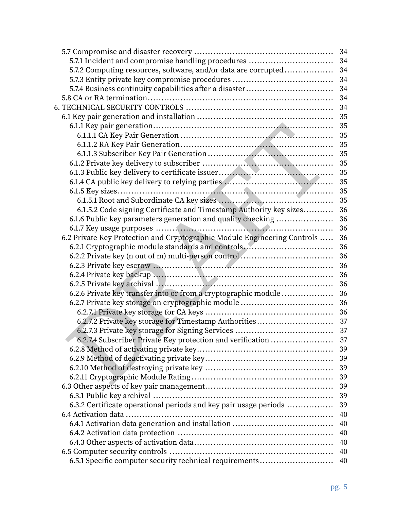|                                                                          | 34 |
|--------------------------------------------------------------------------|----|
| 5.7.1 Incident and compromise handling procedures                        | 34 |
| 5.7.2 Computing resources, software, and/or data are corrupted           | 34 |
| 5.7.3 Entity private key compromise procedures                           | 34 |
| 5.7.4 Business continuity capabilities after a disaster                  | 34 |
|                                                                          | 34 |
|                                                                          | 34 |
|                                                                          | 35 |
|                                                                          | 35 |
|                                                                          | 35 |
|                                                                          | 35 |
|                                                                          | 35 |
|                                                                          | 35 |
|                                                                          | 35 |
|                                                                          | 35 |
|                                                                          | 35 |
|                                                                          | 35 |
| 6.1.5.2 Code signing Certificate and Timestamp Authority key sizes       | 36 |
| 6.1.6 Public key parameters generation and quality checking              | 36 |
|                                                                          | 36 |
| 6.2 Private Key Protection and Cryptographic Module Engineering Controls | 36 |
| 6.2.1 Cryptographic module standards and controls                        | 36 |
|                                                                          | 36 |
|                                                                          | 36 |
|                                                                          | 36 |
|                                                                          | 36 |
| 6.2.6 Private key transfer into or from a cryptographic module           | 36 |
| 6.2.7 Private key storage on cryptographic module                        | 36 |
|                                                                          |    |
|                                                                          |    |
|                                                                          | 37 |
| 6.2.7.4 Subscriber Private Key protection and verification               | 37 |
|                                                                          | 39 |
|                                                                          | 39 |
|                                                                          | 39 |
|                                                                          | 39 |
|                                                                          | 39 |
|                                                                          | 39 |
| 6.3.2 Certificate operational periods and key pair usage periods         | 39 |
|                                                                          | 40 |
|                                                                          | 40 |
|                                                                          | 40 |
|                                                                          | 40 |
|                                                                          | 40 |
| 6.5.1 Specific computer security technical requirements                  | 40 |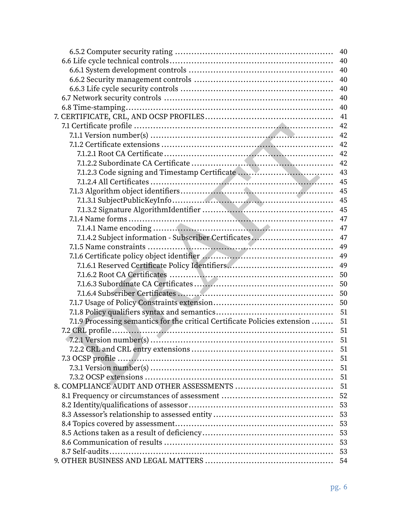|                                                                            | 40 |
|----------------------------------------------------------------------------|----|
|                                                                            | 40 |
|                                                                            | 40 |
|                                                                            | 40 |
|                                                                            | 40 |
|                                                                            | 40 |
|                                                                            | 40 |
|                                                                            | 41 |
|                                                                            | 42 |
|                                                                            | 42 |
|                                                                            | 42 |
|                                                                            | 42 |
|                                                                            | 42 |
| 7.1.2.3 Code signing and Timestamp Certificate                             | 43 |
|                                                                            | 45 |
|                                                                            | 45 |
|                                                                            | 45 |
|                                                                            | 45 |
|                                                                            | 47 |
|                                                                            | 47 |
| 7.1.4.2 Subject information - Subscriber Certificates                      | 47 |
|                                                                            | 49 |
|                                                                            | 49 |
|                                                                            | 49 |
|                                                                            | 50 |
|                                                                            | 50 |
|                                                                            | 50 |
|                                                                            | 50 |
|                                                                            | 51 |
| 7.1.9 Processing semantics for the critical Certificate Policies extension | 51 |
|                                                                            | 51 |
|                                                                            | 51 |
|                                                                            | 51 |
|                                                                            | 51 |
|                                                                            | 51 |
|                                                                            | 51 |
|                                                                            | 51 |
|                                                                            | 52 |
|                                                                            | 53 |
|                                                                            | 53 |
|                                                                            | 53 |
|                                                                            | 53 |
|                                                                            | 53 |
|                                                                            | 53 |
|                                                                            | 54 |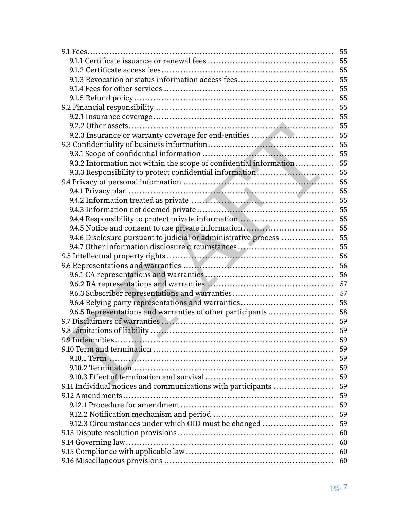|                                                                    | 55 |
|--------------------------------------------------------------------|----|
|                                                                    | 55 |
|                                                                    |    |
|                                                                    | 55 |
|                                                                    | 55 |
|                                                                    | 55 |
|                                                                    | 55 |
|                                                                    |    |
|                                                                    | 55 |
| 9.2.3 Insurance or warranty coverage for end-entities              | 55 |
|                                                                    | 55 |
|                                                                    | 55 |
| 9.3.2 Information not within the scope of confidential information | 55 |
|                                                                    | 55 |
|                                                                    | 55 |
|                                                                    | 55 |
|                                                                    | 55 |
|                                                                    |    |
|                                                                    | 55 |
| 9.4.5 Notice and consent to use private information                | 55 |
| 9.4.6 Disclosure pursuant to judicial or administrative process    | 55 |
| 9.4.7 Other information disclosure circumstances                   | 55 |
|                                                                    | 56 |
|                                                                    | 56 |
|                                                                    | 56 |
|                                                                    |    |
|                                                                    |    |
|                                                                    | 58 |
| 9.6.5 Representations and warranties of other participants         | 58 |
|                                                                    | 59 |
|                                                                    | 59 |
|                                                                    | 59 |
|                                                                    | 59 |
|                                                                    | 59 |
|                                                                    | 59 |
|                                                                    | 59 |
| 9.11 Individual notices and communications with participants       | 59 |
|                                                                    | 59 |
|                                                                    | 59 |
|                                                                    | 59 |
| 9.12.3 Circumstances under which OID must be changed               | 59 |
|                                                                    | 60 |
|                                                                    | 60 |
|                                                                    | 60 |
|                                                                    | 60 |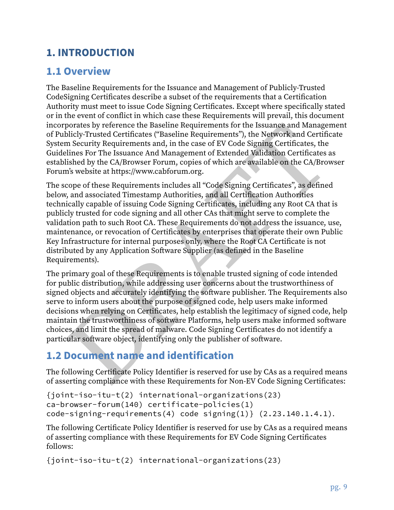# **1. INTRODUCTION**

# **1.1 Overview**

<span id="page-9-0"></span>The Baseline Requirements for the Issuance and Management of Publicly‐Trusted CodeSigning Certificates describe a subset of the requirements that a Certification Authority must meet to issue Code Signing Certificates. Except where specifically stated or in the event of conflict in which case these Requirements will prevail, this document incorporates by reference the Baseline Requirements for the Issuance and Management of Publicly‐Trusted Certificates ("Baseline Requirements"), the Network and Certificate System Security Requirements and, in the case of EV Code Signing Certificates, the Guidelines For The Issuance And Management of Extended Validation Certificates as established by the CA/Browser Forum, copies of which are available on the CA/Browser Forum's website at https://www.cabforum.org.

porates by reference the Baseline Requirements for the Issuance and Management<br>bilcly-Trusted Certificates ("Baseline Requirements"), the Network and Certificates<br>in Security Requirements and, in the case of EV Code Signin The scope of these Requirements includes all "Code Signing Certificates", as defined below, and associated Timestamp Authorities, and all Certification Authorities technically capable of issuing Code Signing Certificates, including any Root CA that is publicly trusted for code signing and all other CAs that might serve to complete the validation path to such Root CA. These Requirements do not address the issuance, use, maintenance, or revocation of Certificates by enterprises that operate their own Public Key Infrastructure for internal purposes only, where the Root CA Certificate is not distributed by any Application Software Supplier (as defined in the Baseline Requirements).

The primary goal of these Requirements is to enable trusted signing of code intended for public distribution, while addressing user concerns about the trustworthiness of signed objects and accurately identifying the software publisher. The Requirements also serve to inform users about the purpose of signed code, help users make informed decisions when relying on Certificates, help establish the legitimacy of signed code, help maintain the trustworthiness of software Platforms, help users make informed software choices, and limit the spread of malware. Code Signing Certificates do not identify a particular software object, identifying only the publisher of software.

# **1.2 Document name and identification**

The following Certificate Policy Identifier is reserved for use by CAs as a required means of asserting compliance with these Requirements for Non‐EV Code Signing Certificates:

```
{joint-iso-itu-t(2) international-organizations(23)
ca-browser-forum(140) certificate-policies(1)
code-signing-requirements(4) code signing(1)} (2.23.140.1.4.1).
```
The following Certificate Policy Identifier is reserved for use by CAs as a required means of asserting compliance with these Requirements for EV Code Signing Certificates follows:

```
{joint-iso-itu-t(2) international-organizations(23)
```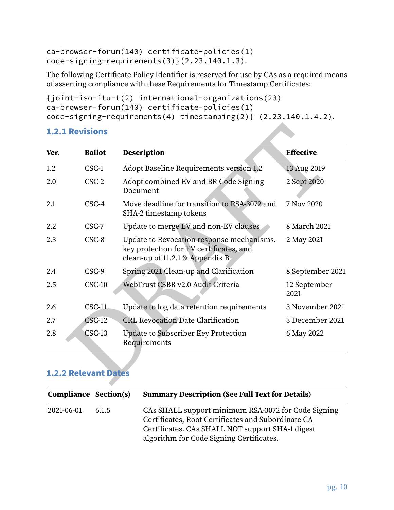```
ca-browser-forum(140) certificate-policies(1)
code-signing-requirements(3)}(2.23.140.1.3).
```
The following Certificate Policy Identifier is reserved for use by CAs as a required means of asserting compliance with these Requirements for Timestamp Certificates:

```
{joint-iso-itu-t(2) international-organizations(23)
ca-browser-forum(140) certificate-policies(1)
code-signing-requirements(4) timestamping(2)} (2.23.140.1.4.2).
```
#### <span id="page-10-1"></span><span id="page-10-0"></span>**1.2.1 Revisions**

| <b>1.2.1 Revisions</b> |                             |                                                                                                                         |                      |  |
|------------------------|-----------------------------|-------------------------------------------------------------------------------------------------------------------------|----------------------|--|
| Ver.                   | <b>Ballot</b>               | <b>Description</b>                                                                                                      | <b>Effective</b>     |  |
| 1.2                    | CSC-1                       | Adopt Baseline Requirements version 1.2                                                                                 | 13 Aug 2019          |  |
| 2.0                    | $CSC-2$                     | Adopt combined EV and BR Code Signing<br>Document                                                                       | 2 Sept 2020          |  |
| 2.1                    | $CSC-4$                     | Move deadline for transition to RSA-3072 and<br>SHA-2 timestamp tokens                                                  | 7 Nov 2020           |  |
| 2.2                    | CSC-7                       | Update to merge EV and non-EV clauses                                                                                   | 8 March 2021         |  |
| 2.3                    | CSC-8                       | Update to Revocation response mechanisms.<br>key protection for EV certificates, and<br>clean-up of 11.2.1 & Appendix B | 2 May 2021           |  |
| 2.4                    | CSC-9                       | Spring 2021 Clean-up and Clarification                                                                                  | 8 September 2021     |  |
| 2.5                    | $CSC-10$                    | WebTrust CSBR v2.0 Audit Criteria                                                                                       | 12 September<br>2021 |  |
| 2.6                    | $CSC-11$                    | Update to log data retention requirements                                                                               | 3 November 2021      |  |
| 2.7                    | $CSC-12$                    | <b>CRL Revocation Date Clarification</b>                                                                                | 3 December 2021      |  |
| 2.8                    | $CSC-13$                    | <b>Update to Subscriber Key Protection</b><br>Requirements                                                              | 6 May 2022           |  |
|                        | <b>1.2.2 Relevant Dates</b> |                                                                                                                         |                      |  |

#### **1.2.2 Relevant Dates**

<span id="page-10-2"></span>

| <b>Compliance Section(s)</b> |       | <b>Summary Description (See Full Text for Details)</b>                                                                                                                                                    |
|------------------------------|-------|-----------------------------------------------------------------------------------------------------------------------------------------------------------------------------------------------------------|
| 2021-06-01                   | 6.1.5 | CAs SHALL support minimum RSA-3072 for Code Signing<br>Certificates, Root Certificates and Subordinate CA<br>Certificates. CAs SHALL NOT support SHA-1 digest<br>algorithm for Code Signing Certificates. |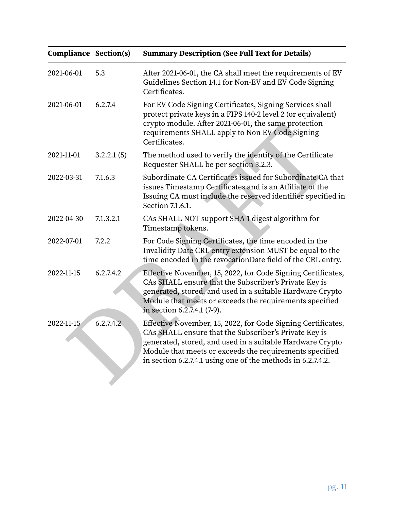| <b>Compliance Section(s)</b> |            | <b>Summary Description (See Full Text for Details)</b>                                                                                                                                                                                                                                                       |
|------------------------------|------------|--------------------------------------------------------------------------------------------------------------------------------------------------------------------------------------------------------------------------------------------------------------------------------------------------------------|
| 2021-06-01                   | 5.3        | After 2021-06-01, the CA shall meet the requirements of EV<br>Guidelines Section 14.1 for Non-EV and EV Code Signing<br>Certificates.                                                                                                                                                                        |
| 2021-06-01                   | 6.2.7.4    | For EV Code Signing Certificates, Signing Services shall<br>protect private keys in a FIPS 140-2 level 2 (or equivalent)<br>crypto module. After 2021-06-01, the same protection<br>requirements SHALL apply to Non EV Code Signing<br>Certificates.                                                         |
| 2021-11-01                   | 3.2.2.1(5) | The method used to verify the identity of the Certificate<br>Requester SHALL be per section 3.2.3.                                                                                                                                                                                                           |
| 2022-03-31                   | 7.1.6.3    | Subordinate CA Certificates issued for Subordinate CA that<br>issues Timestamp Certificates and is an Affiliate of the<br>Issuing CA must include the reserved identifier specified in<br>Section 7.1.6.1.                                                                                                   |
| 2022-04-30                   | 7.1.3.2.1  | CAs SHALL NOT support SHA-1 digest algorithm for<br>Timestamp tokens.                                                                                                                                                                                                                                        |
| 2022-07-01                   | 7.2.2      | For Code Signing Certificates, the time encoded in the<br>Invalidity Date CRL entry extension MUST be equal to the<br>time encoded in the revocationDate field of the CRL entry.                                                                                                                             |
| 2022-11-15                   | 6.2.7.4.2  | Effective November, 15, 2022, for Code Signing Certificates,<br>CAs SHALL ensure that the Subscriber's Private Key is<br>generated, stored, and used in a suitable Hardware Crypto<br>Module that meets or exceeds the requirements specified<br>in section 6.2.7.4.1 (7-9).                                 |
| 2022-11-15                   | 6.2.7.4.2  | Effective November, 15, 2022, for Code Signing Certificates,<br>CAs SHALL ensure that the Subscriber's Private Key is<br>generated, stored, and used in a suitable Hardware Crypto<br>Module that meets or exceeds the requirements specified<br>in section 6.2.7.4.1 using one of the methods in 6.2.7.4.2. |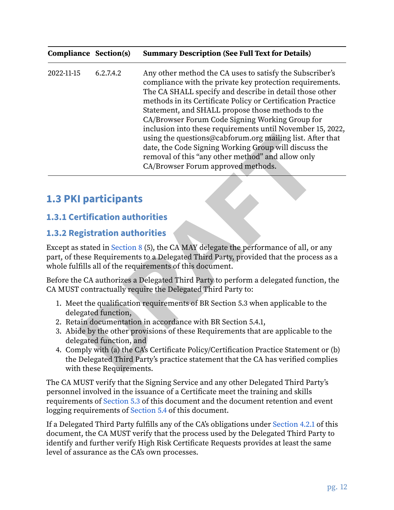| <b>Compliance Section(s)</b>           |                                                                            | <b>Summary Description (See Full Text for Details)</b>                                                                                                                                                                                                                                                                                                                                                                                                                                                                                                                                                                                |
|----------------------------------------|----------------------------------------------------------------------------|---------------------------------------------------------------------------------------------------------------------------------------------------------------------------------------------------------------------------------------------------------------------------------------------------------------------------------------------------------------------------------------------------------------------------------------------------------------------------------------------------------------------------------------------------------------------------------------------------------------------------------------|
| 2022-11-15                             | 6.2.7.4.2                                                                  | Any other method the CA uses to satisfy the Subscriber's<br>compliance with the private key protection requirements.<br>The CA SHALL specify and describe in detail those other<br>methods in its Certificate Policy or Certification Practice<br>Statement, and SHALL propose those methods to the<br>CA/Browser Forum Code Signing Working Group for<br>inclusion into these requirements until November 15, 2022,<br>using the questions@cabforum.org mailing list. After that<br>date, the Code Signing Working Group will discuss the<br>removal of this "any other method" and allow only<br>CA/Browser Forum approved methods. |
| <b>1.3 PKI participants</b>            |                                                                            |                                                                                                                                                                                                                                                                                                                                                                                                                                                                                                                                                                                                                                       |
| <b>1.3.1 Certification authorities</b> |                                                                            |                                                                                                                                                                                                                                                                                                                                                                                                                                                                                                                                                                                                                                       |
| <b>1.3.2 Registration authorities</b>  |                                                                            |                                                                                                                                                                                                                                                                                                                                                                                                                                                                                                                                                                                                                                       |
|                                        |                                                                            | Except as stated in Section 8 (5), the CA MAY delegate the performance of all, or any<br>part, of these Requirements to a Delegated Third Party, provided that the process as a<br>whole fulfills all of the requirements of this document.                                                                                                                                                                                                                                                                                                                                                                                           |
|                                        |                                                                            | Before the CA authorizes a Delegated Third Party to perform a delegated function, the<br>CA MUST contractually require the Delegated Third Party to:                                                                                                                                                                                                                                                                                                                                                                                                                                                                                  |
|                                        | delegated function,<br>delegated function, and<br>with these Requirements. | 1. Meet the qualification requirements of BR Section 5.3 when applicable to the<br>2. Retain documentation in accordance with BR Section 5.4.1,<br>3. Abide by the other provisions of these Requirements that are applicable to the<br>4. Comply with (a) the CA's Certificate Policy/Certification Practice Statement or (b)<br>the Delegated Third Party's practice statement that the CA has verified complies                                                                                                                                                                                                                    |

# **1.3 PKI participants**

#### **1.3.1 Certification authorities**

#### <span id="page-12-0"></span>**1.3.2 Registration authorities**

- 1. Meet the qualification requirements of BR Section 5.3 when applicable to the delegated function,
- 2. Retain documentation in accordance with BR Section 5.4.1,
- 3. Abide by the other provisions of these Requirements that are applicable to the delegated function, and
- <span id="page-12-1"></span>4. Comply with (a) the CA's Certificate Policy/Certification Practice Statement or (b) the Delegated Third Party's practice statement that the CA has verified complies with these Requirements.

The CA MUST verify that the Signing Service and any other Delegated Third Party's personnel involved in the issuance of a Certificate meet the training and skills requirements of [Section 5.3](#page-31-3) of this document and the document retention and event logging requirements of [Section 5.4](#page-32-2) of this document.

If a Delegated Third Party fulfills any of the CA's obligations under [Section 4.2.1](#page-22-2) of this document, the CA MUST verify that the process used by the Delegated Third Party to identify and further verify High Risk Certificate Requests provides at least the same level of assurance as the CA's own processes.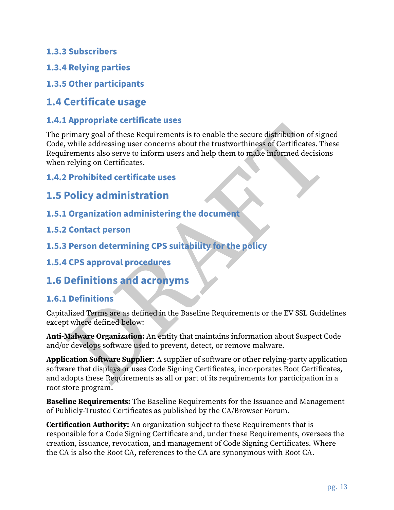#### **1.3.3 Subscribers**

- **1.3.4 Relying parties**
- **1.3.5 Other participants**

# **1.4 Certificate usage**

#### **1.4.1 Appropriate certificate uses**

<span id="page-13-0"></span>repropriate certificates<br>the Requirements is to enable the secure distribution of signed<br>while addressing user concerns about the trustworthiness of Certificates. These<br>relying on Certificates.<br>relying on Certificates asse The primary goal of these Requirements is to enable the secure distribution of signed Code, while addressing user concerns about the trustworthiness of Certificates. These Requirements also serve to inform users and help them to make informed decisions when relying on Certificates.

**1.4.2 Prohibited certificate uses**

# **1.5 Policy administration**

- **1.5.1 Organization administering the document**
- <span id="page-13-1"></span>**1.5.2 Contact person**
- **1.5.3 Person determining CPS suitability for the policy**
- **1.5.4 CPS approval procedures**

# **1.6 Definitions and acronyms**

#### **1.6.1 Definitions**

<span id="page-13-2"></span>Capitalized Terms are as defined in the Baseline Requirements or the EV SSL Guidelines except where defined below:

**Anti‐Malware Organization:** An entity that maintains information about Suspect Code and/or develops software used to prevent, detect, or remove malware.

**Application Software Supplier:** A supplier of software or other relying-party application software that displays or uses Code Signing Certificates, incorporates Root Certificates, and adopts these Requirements as all or part of its requirements for participation in a root store program.

**Baseline Requirements:** The Baseline Requirements for the Issuance and Management of Publicly‐Trusted Certificates as published by the CA/Browser Forum.

**Certification Authority:** An organization subject to these Requirements that is responsible for a Code Signing Certificate and, under these Requirements, oversees the creation, issuance, revocation, and management of Code Signing Certificates. Where the CA is also the Root CA, references to the CA are synonymous with Root CA.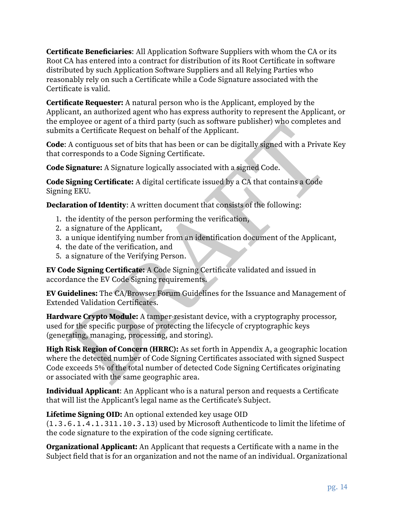**Certificate Beneficiaries**: All Application Software Suppliers with whom the CA or its Root CA has entered into a contract for distribution of its Root Certificate in software distributed by such Application Software Suppliers and all Relying Parties who reasonably rely on such a Certificate while a Code Signature associated with the Certificate is valid.

**Certificate Requester:** A natural person who is the Applicant, employed by the Applicant, an authorized agent who has express authority to represent the Applicant, or the employee or agent of a third party (such as software publisher) who completes and submits a Certificate Request on behalf of the Applicant.

**Code**: A contiguous set of bits that has been or can be digitally signed with a Private Key that corresponds to a Code Signing Certificate.

**Code Signature:** A Signature logically associated with a signed Code.

**Code Signing Certificate:** A digital certificate issued by a CA that contains a Code Signing EKU.

**Declaration of Identity**: A written document that consists of the following:

- 1. the identity of the person performing the verification,
- 2. a signature of the Applicant,
- 3. a unique identifying number from an identification document of the Applicant,
- 4. the date of the verification, and
- <span id="page-14-0"></span>5. a signature of the Verifying Person.

**EV Code Signing Certificate:** A Code Signing Certificate validated and issued in accordance the EV Code Signing requirements.

**EV Guidelines:** The CA/Browser Forum Guidelines for the Issuance and Management of Extended Validation Certificates.

**Hardware Crypto Module:** A tamper-resistant device, with a cryptography processor, used for the specific purpose of protecting the lifecycle of cryptographic keys (generating, managing, processing, and storing).

npubyee or agent of a unit party such as solvivate publisher) who completes and<br>this a Certificate Request on behalf of the Applicant.<br>
A contiguous set of bits that has been or can be digitally signed with a Private Key<br> **High Risk Region of Concern (HRRC):** As set forth in Appendix A, a geographic location where the detected number of Code Signing Certificates associated with signed Suspect Code exceeds 5% of the total number of detected Code Signing Certificates originating or associated with the same geographic area.

**Individual Applicant**: An Applicant who is a natural person and requests a Certificate that will list the Applicant's legal name as the Certificate's Subject.

**Lifetime Signing OID:** An optional extended key usage OID (1.3.6.1.4.1.311.10.3.13) used by Microsoft Authenticode to limit the lifetime of the code signature to the expiration of the code signing certificate.

**Organizational Applicant:** An Applicant that requests a Certificate with a name in the Subject field that is for an organization and not the name of an individual. Organizational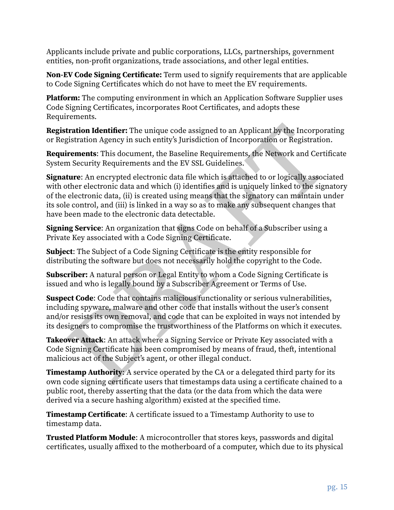Applicants include private and public corporations, LLCs, partnerships, government entities, non-profit organizations, trade associations, and other legal entities.

**Non‐EV Code Signing Certificate:** Term used to signify requirements that are applicable to Code Signing Certificates which do not have to meet the EV requirements.

**Platform:** The computing environment in which an Application Software Supplier uses Code Signing Certificates, incorporates Root Certificates, and adopts these Requirements.

**Registration Identifier:** The unique code assigned to an Applicant by the Incorporating or Registration Agency in such entity's Jurisdiction of Incorporation or Registration.

**Requirements**: This document, the Baseline Requirements, the Network and Certificate System Security Requirements and the EV SSL Guidelines.

**tration Identifier:** The unique code assigned to an Applicant by the Incorporating<br>gistration Agency in such entity's Jurisdiction of Incorporation or Registration.<br>**irements:** This document, the Baseline Requirements, th **Signature**: An encrypted electronic data file which is attached to or logically associated with other electronic data and which (i) identifies and is uniquely linked to the signatory of the electronic data, (ii) is created using means that the signatory can maintain under its sole control, and (iii) is linked in a way so as to make any subsequent changes that have been made to the electronic data detectable.

**Signing Service**: An organization that signs Code on behalf of a Subscriber using a Private Key associated with a Code Signing Certificate.

**Subject**: The Subject of a Code Signing Certificate is the entity responsible for distributing the software but does not necessarily hold the copyright to the Code.

**Subscriber:** A natural person or Legal Entity to whom a Code Signing Certificate is issued and who is legally bound by a Subscriber Agreement or Terms of Use.

**Suspect Code**: Code that contains malicious functionality or serious vulnerabilities, including spyware, malware and other code that installs without the user's consent and/or resists its own removal, and code that can be exploited in ways not intended by its designers to compromise the trustworthiness of the Platforms on which it executes.

**Takeover Attack**: An attack where a Signing Service or Private Key associated with a Code Signing Certificate has been compromised by means of fraud, theft, intentional malicious act of the Subject's agent, or other illegal conduct.

**Timestamp Authority**: A service operated by the CA or a delegated third party for its own code signing certificate users that timestamps data using a certificate chained to a public root, thereby asserting that the data (or the data from which the data were derived via a secure hashing algorithm) existed at the specified time.

**Timestamp Certificate**: A certificate issued to a Timestamp Authority to use to timestamp data.

**Trusted Platform Module**: A microcontroller that stores keys, passwords and digital certificates, usually affixed to the motherboard of a computer, which due to its physical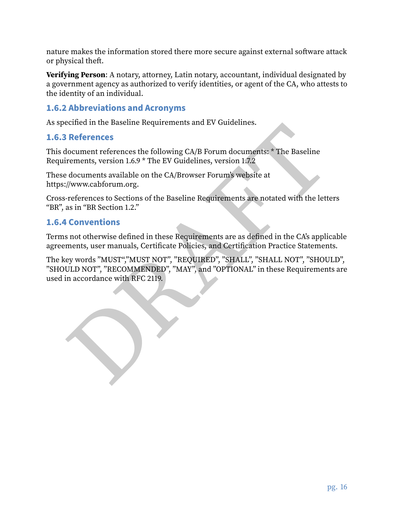nature makes the information stored there more secure against external software attack or physical theft.

**Verifying Person**: A notary, attorney, Latin notary, accountant, individual designated by a government agency as authorized to verify identities, or agent of the CA, who attests to the identity of an individual.

#### **1.6.2 Abbreviations and Acronyms**

As specified in the Baseline Requirements and EV Guidelines.

#### **1.6.3 References**

This document references the following CA/B Forum documents: \* The Baseline Requirements, version 1.6.9 \* The EV Guidelines, version 1.7.2

These documents available on the CA/Browser Forum's website at https://www.cabforum.org.

Cross‐references to Sections of the Baseline Requirements are notated with the letters "BR", as in "BR Section 1.2."

#### **1.6.4 Conventions**

Terms not otherwise defined in these Requirements are as defined in the CA's applicable agreements, user manuals, Certificate Policies, and Certification Practice Statements.

ecined in the Baseline Requirements and EV Guidelines.<br>
References<br>
document references the following CA/B Forum documents: \* The Baseline<br>
documents available on the CA/Browser Forum's website at<br>
signification 1.2,"<br>
doc The key words "MUST","MUST NOT", "REQUIRED", "SHALL", "SHALL NOT", "SHOULD", "SHOULD NOT", "RECOMMENDED", "MAY", and "OPTIONAL" in these Requirements are used in accordance with RFC 2119.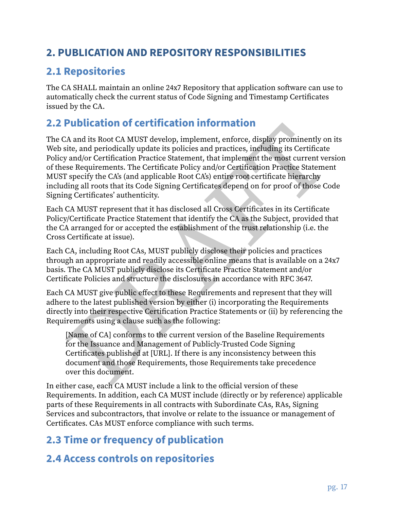# **2. PUBLICATION AND REPOSITORY RESPONSIBILITIES**

# **2.1 Repositories**

<span id="page-17-0"></span>The CA SHALL maintain an online 24x7 Repository that application software can use to automatically check the current status of Code Signing and Timestamp Certificates issued by the CA.

# **2.2 Publication of certification information**

**PUDLICATION OF CETTIFICATION INTOFMATION**<br>
Y.A and its Root CA MUST develop, implement, enforce, display prominently on its<br>
sitie, and periodically update its policies and practices, including its Certificate<br>
and/or Ce The CA and its Root CA MUST develop, implement, enforce, display prominently on its Web site, and periodically update its policies and practices, including its Certificate Policy and/or Certification Practice Statement, that implement the most current version of these Requirements. The Certificate Policy and/or Certification Practice Statement MUST specify the CA's (and applicable Root CA's) entire root certificate hierarchy including all roots that its Code Signing Certificates depend on for proof of those Code Signing Certificates' authenticity.

Each CA MUST represent that it has disclosed all Cross Certificates in its Certificate Policy/Certificate Practice Statement that identify the CA as the Subject, provided that the CA arranged for or accepted the establishment of the trust relationship (i.e. the Cross Certificate at issue).

Each CA, including Root CAs, MUST publicly disclose their policies and practices through an appropriate and readily accessible online means that is available on a 24x7 basis. The CA MUST publicly disclose its Certificate Practice Statement and/or Certificate Policies and structure the disclosures in accordance with RFC 3647.

Each CA MUST give public effect to these Requirements and represent that they will adhere to the latest published version by either (i) incorporating the Requirements directly into their respective Certification Practice Statements or (ii) by referencing the Requirements using a clause such as the following:

[Name of CA] conforms to the current version of the Baseline Requirements for the Issuance and Management of Publicly‐Trusted Code Signing Certificates published at [URL]. If there is any inconsistency between this document and those Requirements, those Requirements take precedence over this document.

In either case, each CA MUST include a link to the official version of these Requirements. In addition, each CA MUST include (directly or by reference) applicable parts of these Requirements in all contracts with Subordinate CAs, RAs, Signing Services and subcontractors, that involve or relate to the issuance or management of Certificates. CAs MUST enforce compliance with such terms.

# **2.3 Time or frequency of publication**

# **2.4 Access controls on repositories**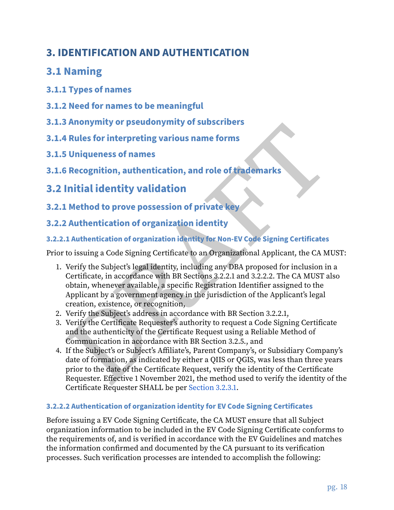# **3. IDENTIFICATION AND AUTHENTICATION**

# **3.1 Naming**

- <span id="page-18-0"></span>**3.1.1 Types of names**
- **3.1.2 Need for names to be meaningful**
- **3.1.3 Anonymity or pseudonymity of subscribers**
- **3.1.4 Rules for interpreting various name forms**
- **3.1.5 Uniqueness of names**
- **3.1.6 Recognition, authentication, and role of trademarks**
- <span id="page-18-4"></span>**3.2 Initial identity validation**
- **3.2.1 Method to prove possession of private key**

#### <span id="page-18-1"></span>**3.2.2 Authentication of organization identity**

#### **3.2.2.1 Authentication of organization identity for Non‑EV Code Signing Certificates**

<span id="page-18-2"></span>Prior to issuing a Code Signing Certificate to an Organizational Applicant, the CA MUST:

- Fillers for interpreting various name forms<br>
Fillers for interpreting various name forms<br>
Elected in the production of the computer of the computer of the computation<br>
Initial identity validation<br>
In Atthentication of orga 1. Verify the Subject's legal identity, including any DBA proposed for inclusion in a Certificate, in accordance with BR Sections 3.2.2.1 and 3.2.2.2. The CA MUST also obtain, whenever available, a specific Registration Identifier assigned to the Applicant by a government agency in the jurisdiction of the Applicant's legal creation, existence, or recognition,
- 2. Verify the Subject's address in accordance with BR Section 3.2.2.1,
- 3. Verify the Certificate Requester's authority to request a Code Signing Certificate and the authenticity of the Certificate Request using a Reliable Method of Communication in accordance with BR Section 3.2.5., and
- <span id="page-18-3"></span>4. If the Subject's or Subject's Affiliate's, Parent Company's, or Subsidiary Company's date of formation, as indicated by either a QIIS or QGIS, was less than three years prior to the date of the Certificate Request, verify the identity of the Certificate Requester. Effective 1 November 2021, the method used to verify the identity of the Certificate Requester SHALL be per [Section 3.2.3.1](#page-20-1).

#### **3.2.2.2 Authentication of organization identity for EV Code Signing Certificates**

Before issuing a EV Code Signing Certificate, the CA MUST ensure that all Subject organization information to be included in the EV Code Signing Certificate conforms to the requirements of, and is verified in accordance with the EV Guidelines and matches the information confirmed and documented by the CA pursuant to its verification processes. Such verification processes are intended to accomplish the following: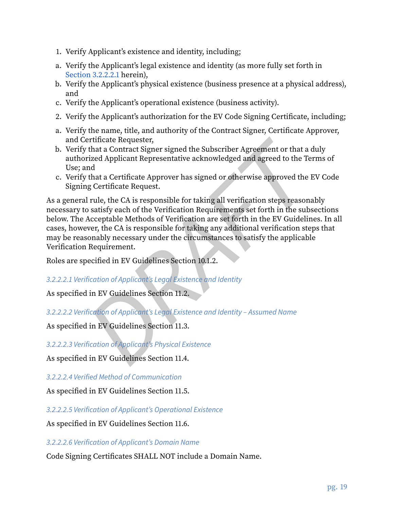- 1. Verify Applicant's existence and identity, including;
- a. Verify the Applicant's legal existence and identity (as more fully set forth in [Section 3.2.2.2.1](#page-19-1) herein),
- b. Verify the Applicant's physical existence (business presence at a physical address), and
- c. Verify the Applicant's operational existence (business activity).
- 2. Verify the Applicant's authorization for the EV Code Signing Certificate, including;
- a. Verify the name, title, and authority of the Contract Signer, Certificate Approver, and Certificate Requester,
- b. Verify that a Contract Signer signed the Subscriber Agreement or that a duly authorized Applicant Representative acknowledged and agreed to the Terms of Use; and
- <span id="page-19-0"></span>c. Verify that a Certificate Approver has signed or otherwise approved the EV Code Signing Certificate Request.

iertificate Requester,<br>
that a Contract Signer signed the Subscriber Agreement or that a duly<br>
that a Contract Signer signed the Subscriber Agreement or that a duly<br>
that a Certificate Approver has signed or otherwise appr As a general rule, the CA is responsible for taking all verification steps reasonably necessary to satisfy each of the Verification Requirements set forth in the subsections below. The Acceptable Methods of Verification are set forth in the EV Guidelines. In all cases, however, the CA is responsible for taking any additional verification steps that may be reasonably necessary under the circumstances to satisfy the applicable Verification Requirement.

<span id="page-19-1"></span>Roles are specified in EV Guidelines Section 10.1.2.

*3.2.2.2.1 Verification of Applicant's Legal Existence and Identity*

As specified in EV Guidelines Section 11.2.

*3.2.2.2.2 Verification of Applicant's Legal Existence and Identity – Assumed Name*

As specified in EV Guidelines Section 11.3.

*3.2.2.2.3 Verification of Applicant's Physical Existence*

As specified in EV Guidelines Section 11.4.

*3.2.2.2.4 Verified Method of Communication*

As specified in EV Guidelines Section 11.5.

*3.2.2.2.5 Verification of Applicant's Operational Existence*

As specified in EV Guidelines Section 11.6.

*3.2.2.2.6 Verification of Applicant's Domain Name*

Code Signing Certificates SHALL NOT include a Domain Name.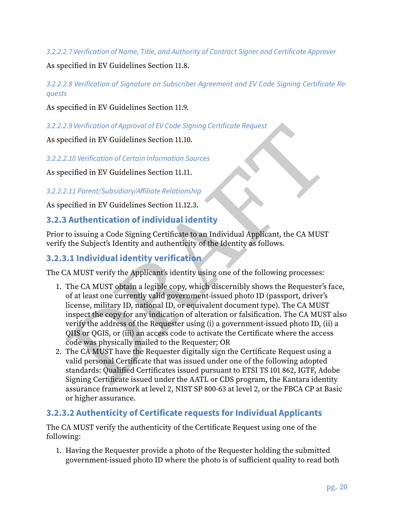*3.2.2.2.7 Verification of Name, Title, and Authority of Contract Signer and Certificate Approver*

As specified in EV Guidelines Section 11.8.

*3.2.2.2.8 Verification of Signature on Subscriber Agreement and EV Code Signing Certificate Re‑ quests*

As specified in EV Guidelines Section 11.9.

*3.2.2.2.9 Verification of Approval of EV Code Signing Certificate Request*

As specified in EV Guidelines Section 11.10.

*3.2.2.2.10 Verification of Certain Information Sources*

As specified in EV Guidelines Section 11.11.

*3.2.2.2.11 Parent/Subsidiary/Affiliate Relationship*

As specified in EV Guidelines Section 11.12.3.

#### <span id="page-20-2"></span>**3.2.3 Authentication of individual identity**

Prior to issuing a Code Signing Certificate to an Individual Applicant, the CA MUST verify the Subject's Identity and authenticity of the Identity as follows.

#### <span id="page-20-1"></span>**3.2.3.1 Individual identity verification**

The CA MUST verify the Applicant's identity using one of the following processes:

- 2.9 Verification of Approval of EV Code Signing Certificate Request<br>
ecified in EV Guidelines Section 11.10.<br>
2.10 Verification of Certain Information Sources<br>
ecified in EV Guidelines Section 11.11.<br>
2.11 Parent/Subsidia 1. The CA MUST obtain a legible copy, which discernibly shows the Requester's face, of at least one currently valid government‐issued photo ID (passport, driver's license, military ID, national ID, or equivalent document type). The CA MUST inspect the copy for any indication of alteration or falsification. The CA MUST also verify the address of the Requester using (i) a government‐issued photo ID, (ii) a QIIS or QGIS, or (iii) an access code to activate the Certificate where the access code was physically mailed to the Requester; OR
- <span id="page-20-0"></span>2. The CA MUST have the Requester digitally sign the Certificate Request using a valid personal Certificate that was issued under one of the following adopted standards: Qualified Certificates issued pursuant to ETSI TS 101 862, IGTF, Adobe Signing Certificate issued under the AATL or CDS program, the Kantara identity assurance framework at level 2, NIST SP 800‐63 at level 2, or the FBCA CP at Basic or higher assurance.

#### **3.2.3.2 Authenticity of Certificate requests for Individual Applicants**

The CA MUST verify the authenticity of the Certificate Request using one of the following:

1. Having the Requester provide a photo of the Requester holding the submitted government‐issued photo ID where the photo is of sufficient quality to read both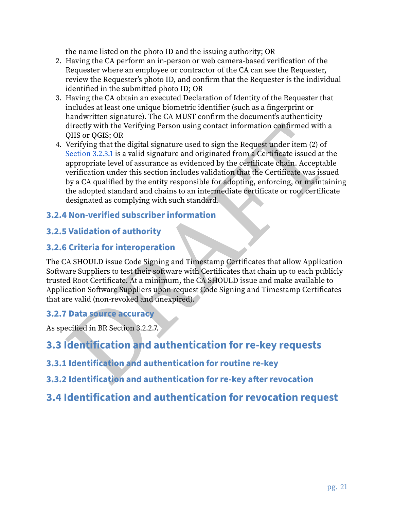the name listed on the photo ID and the issuing authority; OR

- 2. Having the CA perform an in‐person or web camera‐based verification of the Requester where an employee or contractor of the CA can see the Requester, review the Requester's photo ID, and confirm that the Requester is the individual identified in the submitted photo ID; OR
- 3. Having the CA obtain an executed Declaration of Identity of the Requester that includes at least one unique biometric identifier (such as a fingerprint or handwritten signature). The CA MUST confirm the document's authenticity directly with the Verifying Person using contact information confirmed with a QIIS or QGIS; OR
- <span id="page-21-0"></span>directly with the Verifying Person using contact information confirmed with a<br>QUS or QGIS; OR  $\alpha$  CRIS and signature used to sign the Request under item (2) of<br>Yerifying that the digital signature used to sign the Request 4. Verifying that the digital signature used to sign the Request under item (2) of Section 3.2.3.1 is a valid signature and originated from a Certificate issued at the appropriate level of assurance as evidenced by the certificate chain. Acceptable verification under this section includes validation that the Certificate was issued by a CA qualified by the entity responsible for adopting, enforcing, or maintaining the adopted standard and chains to an intermediate certificate or root certificate designated as complying with such standard.

#### **3.2.4 Non‑verified subscriber information**

#### **3.2.5 Validation of authority**

#### **3.2.6 Criteria for interoperation**

The CA SHOULD issue Code Signing and Timestamp Certificates that allow Application Software Suppliers to test their software with Certificates that chain up to each publicly trusted Root Certificate. At a minimum, the CA SHOULD issue and make available to Application Software Suppliers upon request Code Signing and Timestamp Certificates that are valid (non-revoked and unexpired).

#### **3.2.7 Data source accuracy**

As specified in BR Section 3.2.2.7.

# **3.3 Identification and authentication for re‑key requests**

- **3.3.1 Identification and authentication for routine re‑key**
- <span id="page-21-1"></span>**3.3.2 Identification and authentication for re‑key after revocation**

# **3.4 Identification and authentication for revocation request**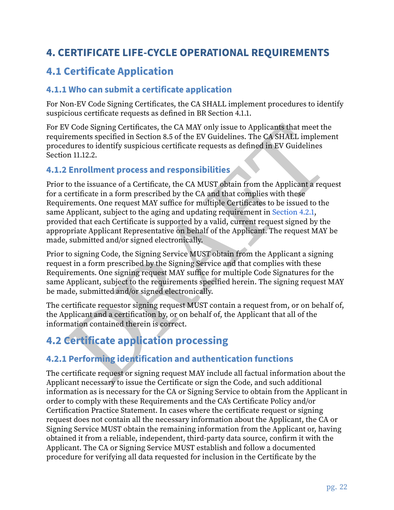# **4. CERTIFICATE LIFE‑CYCLE OPERATIONAL REQUIREMENTS**

# **4.1 Certificate Application**

#### <span id="page-22-0"></span>**4.1.1 Who can submit a certificate application**

For Non‐EV Code Signing Certificates, the CA SHALL implement procedures to identify suspicious certificate requests as defined in BR Section 4.1.1.

For EV Code Signing Certificates, the CA MAY only issue to Applicants that meet the requirements specified in Section 8.5 of the EV Guidelines. The CA SHALL implement procedures to identify suspicious certificate requests as defined in EV Guidelines Section 11.12.2.

#### **4.1.2 Enrollment process and responsibilities**

V Code Signing Certificates, the CA MAY only issue to Applicants that meet the rements specified in Section 8.5 of the EV Guidelines. The CA SHAEL implement<br>rements specified in Section 8.5 of the EV Guidelines. The CA SHA Prior to the issuance of a Certificate, the CA MUST obtain from the Applicant a request for a certificate in a form prescribed by the CA and that complies with these Requirements. One request MAY suffice for multiple Certificates to be issued to the same Applicant, subject to the aging and updating requirement in Section 4.2.1, provided that each Certificate is supported by a valid, current request signed by the appropriate Applicant Representative on behalf of the Applicant. The request MAY be made, submitted and/or signed electronically.

Prior to signing Code, the Signing Service MUST obtain from the Applicant a signing request in a form prescribed by the Signing Service and that complies with these Requirements. One signing request MAY suffice for multiple Code Signatures for the same Applicant, subject to the requirements specified herein. The signing request MAY be made, submitted and/or signed electronically.

The certificate requestor signing request MUST contain a request from, or on behalf of, the Applicant and a certification by, or on behalf of, the Applicant that all of the information contained therein is correct.

# **4.2 Certificate application processing**

#### <span id="page-22-2"></span>**4.2.1 Performing identification and authentication functions**

<span id="page-22-1"></span>The certificate request or signing request MAY include all factual information about the Applicant necessary to issue the Certificate or sign the Code, and such additional information as is necessary for the CA or Signing Service to obtain from the Applicant in order to comply with these Requirements and the CA's Certificate Policy and/or Certification Practice Statement. In cases where the certificate request or signing request does not contain all the necessary information about the Applicant, the CA or Signing Service MUST obtain the remaining information from the Applicant or, having obtained it from a reliable, independent, third‐party data source, confirm it with the Applicant. The CA or Signing Service MUST establish and follow a documented procedure for verifying all data requested for inclusion in the Certificate by the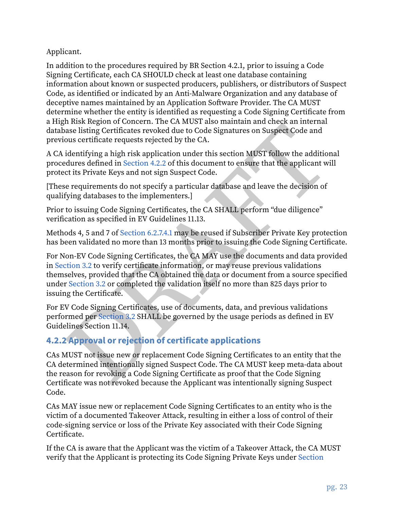#### Applicant.

In addition to the procedures required by BR Section 4.2.1, prior to issuing a Code Signing Certificate, each CA SHOULD check at least one database containing information about known or suspected producers, publishers, or distributors of Suspect Code, as identified or indicated by an Anti‐Malware Organization and any database of deceptive names maintained by an Application Software Provider. The CA MUST determine whether the entity is identified as requesting a Code Signing Certificate from a High Risk Region of Concern. The CA MUST also maintain and check an internal database listing Certificates revoked due to Code Signatures on Suspect Code and previous certificate requests rejected by the CA.

A CA identifying a high risk application under this section MUST follow the additional procedures defined in Section 4.2.2 of this document to ensure that the applicant will protect its Private Keys and not sign Suspect Code.

[These requirements do not specify a particular database and leave the decision of qualifying databases to the implementers.]

Prior to issuing Code Signing Certificates, the CA SHALL perform "due diligence" verification as specified in EV Guidelines 11.13.

Methods 4, 5 and 7 of Section 6.2.7.4.1 may be reused if Subscriber Private Key protection has been validated no more than 13 months prior to issuing the Code Signing Certificate.

It is as Region of Concern.. The CM attors and main and netect an interinal<br>as listing Certificates revoked due to Code Signatures on Suspect Code and<br>ous certificate requests rejected by the C[A](#page-37-1).<br>Code Signatures on Suspect For Non‐EV Code Signing Certificates, the CA MAY use the documents and data provided in [Section 3.2](#page-18-4) to verify certificate information, or may reuse previous validations themselves, provided that the CA obtained the data or document from a source specified under Section 3.2 or completed the validation itself no more than 825 days prior to issuing the Certificate.

For EV Code Signing Certificates, use of documents, data, and previous validations performed per Section 3.2 SHALL be governed by the usage periods as defined in EV Guidelines Section 11.14.

#### <span id="page-23-0"></span>**4.2.2 Approval or rejection of certificate applications**

CAs MUST not issue new or replacement Code Signing Certificates to an entity that the CA determined intentionally signed Suspect Code. The CA MUST keep meta‐data about the reason for revoking a Code Signing Certificate as proof that the Code Signing Certificate was not revoked because the Applicant was intentionally signing Suspect Code.

CAs MAY issue new or replacement Code Signing Certificates to an entity who is the victim of a documented Takeover Attack, resulting in either a loss of control of their code‐signing service or loss of the Private Key associated with their Code Signing Certificate.

If the CA is aware that the Applicant was the victim of a Takeover Attack, the CA MUST verify that the Applicant is protecting its Code Signing Private Keys under [Section](#page-37-1)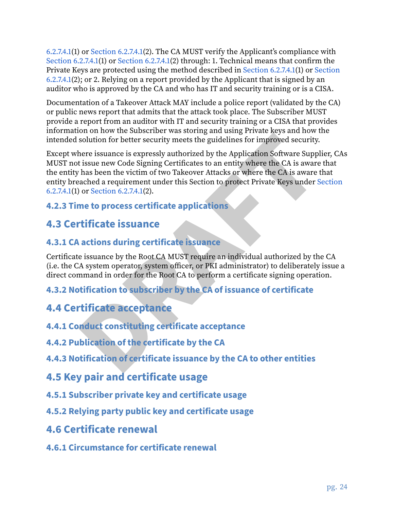[6.2.7.4.1\(](#page-37-1)1) or [Section 6.2.7.4.1](#page-37-1)(2). The CA MUST verify the Applicant's compliance with [Section 6.2.7.4.1\(](#page-37-1)1) or [Section 6.2.7.4.1](#page-37-1)(2) through: 1. Technical means that confirm the Private Keys are protected using the method described in [Section 6.2.7.4.1\(](#page-37-1)1) or [Section](#page-37-1) [6.2.7.4.1\(](#page-37-1)2); or 2. Relying on a report provided by the Applicant that is signed by an auditor who is approved by the CA and who has IT and security training or is a CISA.

Documentation of a Takeover Attack MAY include a police report (validated by the CA) or public news report that admits that the attack took place. The Subscriber MUST provide a report from an auditor with IT and security training or a CISA that provides information on how the Subscriber was storing and using Private keys and how the intended solution for better security meets the guidelines for improved security.

In the material streament and streament and streament and streament and streament and streament and streament in the streament in the streament in the particle is sure that has been the pair of the streament under this Sec Except where issuance is expressly authorized by the Application Software Supplier, CAs MUST not issue new Code Signing Certificates to an entity where the CA is aware that the entity has been the victim of two Takeover Attacks or where the CA is aware that entity breached a requirement under this Section to protect Private Keys under [Section](#page-37-1) [6.2.7.4.1\(](#page-37-1)1) or Section 6.2.7.4.1(2).

# **4.2.3 Time to process certificate applications**

# **4.3 Certificate issuance**

#### **4.3.1 CA actions during certificate issuance**

<span id="page-24-0"></span>Certificate issuance by the Root CA MUST require an individual authorized by the CA (i.e. the CA system operator, system officer, or PKI administrator) to deliberately issue a direct command in order for the Root CA to perform a certificate signing operation.

# **4.3.2 Notification to subscriber by the CA of issuance of certificate**

# **4.4 Certificate acceptance**

- **4.4.1 Conduct constituting certificate acceptance**
- <span id="page-24-1"></span>**4.4.2 Publication of the certificate by the CA**
- **4.4.3 Notification of certificate issuance by the CA to other entities**
- **4.5 Key pair and certificate usage**
- **4.5.1 Subscriber private key and certificate usage**
- <span id="page-24-2"></span>**4.5.2 Relying party public key and certificate usage**
- **4.6 Certificate renewal**
- <span id="page-24-3"></span>**4.6.1 Circumstance for certificate renewal**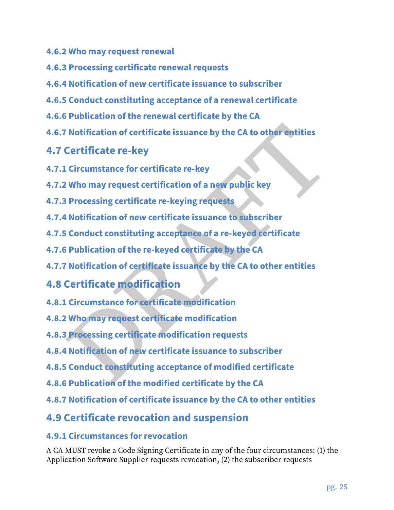- **4.6.2 Who may request renewal**
- **4.6.3 Processing certificate renewal requests**
- **4.6.4 Notification of new certificate issuance to subscriber**
- **4.6.5 Conduct constituting acceptance of a renewal certificate**
- **4.6.6 Publication of the renewal certificate by the CA**
- **4.6.7 Notification of certificate issuance by the CA to other entities**

# **4.7 Certificate re‑key**

- **4.7.1 Circumstance for certificate re‑key**
- <span id="page-25-0"></span>**4.7.2 Who may request certification of a new public key**
- **4.7.3 Processing certificate re‑keying requests**
- **4.7.4 Notification of new certificate issuance to subscriber**
- **4.7.5 Conduct constituting acceptance of a re‑keyed certificate**
- **4.7.6 Publication of the re‑keyed certificate by the CA**
- Motification of certificate issuance by the CA to other entities<br>
Certificate re-key<br>
Circumstance for certificate re-key<br>
Who may request certificate re-key<br>
Processing certificate re-keying requests<br>
Notification of new **4.7.7 Notification of certificate issuance by the CA to other entities**

# **4.8 Certificate modification**

- **4.8.1 Circumstance for certificate modification**
- <span id="page-25-1"></span>**4.8.2 Who may request certificate modification**
- **4.8.3 Processing certificate modification requests**
- **4.8.4 Notification of new certificate issuance to subscriber**
- **4.8.5 Conduct constituting acceptance of modified certificate**
- **4.8.6 Publication of the modified certificate by the CA**
- **4.8.7 Notification of certificate issuance by the CA to other entities**

# **4.9 Certificate revocation and suspension**

#### **4.9.1 Circumstances for revocation**

<span id="page-25-2"></span>A CA MUST revoke a Code Signing Certificate in any of the four circumstances: (1) the Application Software Supplier requests revocation, (2) the subscriber requests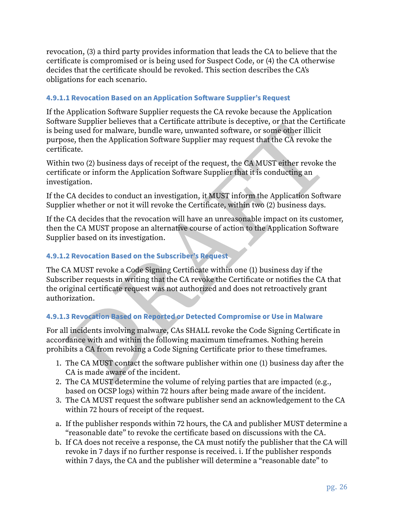revocation, (3) a third party provides information that leads the CA to believe that the certificate is compromised or is being used for Suspect Code, or (4) the CA otherwise decides that the certificate should be revoked. This section describes the CA's obligations for each scenario.

#### **4.9.1.1 Revocation Based on an Application Software Supplier's Request**

If the Application Software Supplier requests the CA revoke because the Application Software Supplier believes that a Certificate attribute is deceptive, or that the Certificate is being used for malware, bundle ware, unwanted software, or some other illicit purpose, then the Application Software Supplier may request that the CA revoke the certificate.

Within two (2) business days of receipt of the request, the CA MUST either revoke the certificate or inform the Application Software Supplier that it is conducting an investigation.

If the CA decides to conduct an investigation, it MUST inform the Application Software Supplier whether or not it will revoke the Certificate, within two (2) business days.

If the CA decides that the revocation will have an unreasonable impact on its customer, then the CA MUST propose an alternative course of action to the Application Software Supplier based on its investigation.

#### **4.9.1.2 Revocation Based on the Subscriber's Request**

are supplier beneves that a certificate attribute is deceptive, of unta the cruiteral and a genual of ormation and certificate attribute is election.<br>In grand to the Application Software supplier may request that the CA re The CA MUST revoke a Code Signing Certificate within one (1) business day if the Subscriber requests in writing that the CA revoke the Certificate or notifies the CA that the original certificate request was not authorized and does not retroactively grant authorization.

#### **4.9.1.3 Revocation Based on Reported or Detected Compromise or Use in Malware**

For all incidents involving malware, CAs SHALL revoke the Code Signing Certificate in accordance with and within the following maximum timeframes. Nothing herein prohibits a CA from revoking a Code Signing Certificate prior to these timeframes.

- 1. The CA MUST contact the software publisher within one (1) business day after the CA is made aware of the incident.
- 2. The CA MUST determine the volume of relying parties that are impacted (e.g., based on OCSP logs) within 72 hours after being made aware of the incident.
- 3. The CA MUST request the software publisher send an acknowledgement to the CA within 72 hours of receipt of the request.
- a. If the publisher responds within 72 hours, the CA and publisher MUST determine a "reasonable date" to revoke the certificate based on discussions with the CA.
- <span id="page-26-0"></span>b. If CA does not receive a response, the CA must notify the publisher that the CA will revoke in 7 days if no further response is received. i. If the publisher responds within 7 days, the CA and the publisher will determine a "reasonable date" to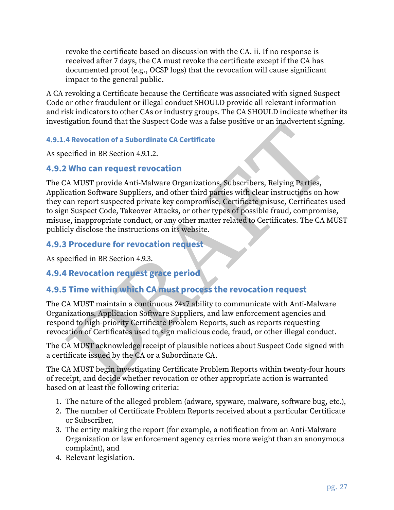revoke the certificate based on discussion with the CA. ii. If no response is received after 7 days, the CA must revoke the certificate except if the CA has documented proof (e.g., OCSP logs) that the revocation will cause significant impact to the general public.

A CA revoking a Certificate because the Certificate was associated with signed Suspect Code or other fraudulent or illegal conduct SHOULD provide all relevant information and risk indicators to other CAs or industry groups. The CA SHOULD indicate whether its investigation found that the Suspect Code was a false positive or an inadvertent signing.

#### **4.9.1.4 Revocation of a Subordinate CA Certificate**

As specified in BR Section 4.9.1.2.

#### **4.9.2 Who can request revocation**

ogation round that the suspect code was a raise positive or an inadvertent signing.<br>
4 Revocation of a Subordinate CA Certificate<br>
ecified in BR Section 4.9.1.2.<br>
2. Who can request revocation<br>
2. A WIST provide Anti-Malwa The CA MUST provide Anti‐Malware Organizations, Subscribers, Relying Parties, Application Software Suppliers, and other third parties with clear instructions on how they can report suspected private key compromise, Certificate misuse, Certificates used to sign Suspect Code, Takeover Attacks, or other types of possible fraud, compromise, misuse, inappropriate conduct, or any other matter related to Certificates. The CA MUST publicly disclose the instructions on its website.

#### **4.9.3 Procedure for revocation request**

As specified in BR Section 4.9.3.

#### **4.9.4 Revocation request grace period**

#### **4.9.5 Time within which CA must process the revocation request**

The CA MUST maintain a continuous 24x7 ability to communicate with Anti‐Malware Organizations, Application Software Suppliers, and law enforcement agencies and respond to high‐priority Certificate Problem Reports, such as reports requesting revocation of Certificates used to sign malicious code, fraud, or other illegal conduct.

The CA MUST acknowledge receipt of plausible notices about Suspect Code signed with a certificate issued by the CA or a Subordinate CA.

The CA MUST begin investigating Certificate Problem Reports within twenty‐four hours of receipt, and decide whether revocation or other appropriate action is warranted based on at least the following criteria:

- 1. The nature of the alleged problem (adware, spyware, malware, software bug, etc.),
- 2. The number of Certificate Problem Reports received about a particular Certificate or Subscriber,
- 3. The entity making the report (for example, a notification from an Anti‐Malware Organization or law enforcement agency carries more weight than an anonymous complaint), and
- <span id="page-27-0"></span>4. Relevant legislation.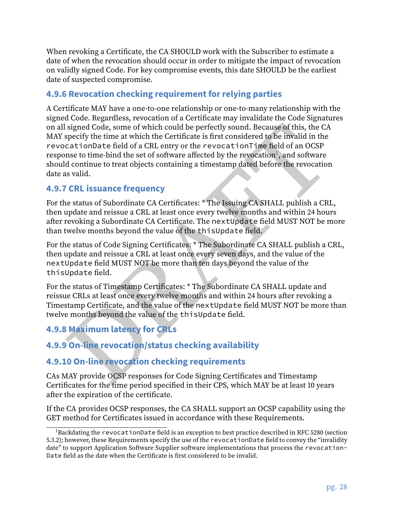When revoking a Certificate, the CA SHOULD work with the Subscriber to estimate a date of when the revocation should occur in order to mitigate the impact of revocation on validly signed Code. For key compromise events, this date SHOULD be the earliest date of suspected compromise.

#### **4.9.6 Revocation checking requirement for relying parties**

signed Code, some of which could be perfectly sound. Because of this, the CA<br>specify the time at which the Certificate is first considered to be invalid in the<br>pactivolbate field of a CRL entry or the revocation [T](#page-28-0)ime field A Certificate MAY have a one‐to‐one relationship or one‐to‐many relationship with the signed Code. Regardless, revocation of a Certificate may invalidate the Code Signatures on all signed Code, some of which could be perfectly sound. Because of this, the CA MAY specify the time at which the Certificate is first considered to be invalid in the revocationDate field of a CRL entry or the revocationTime field of an OCSP response to time-bind the set of software affected by the revocation $^{\rm l}$ , and software should continue to treat objects containing a timestamp dated before the revocation date as valid.

#### **4.9.7 CRL issuance frequency**

For the status of Subordinate CA Certificates: \* The Issuing CA SHALL publish a CRL, then update and reissue a CRL at least once every twelve months and within 24 hours after revoking a Subordinate CA Certificate. The nextUpdate field MUST NOT be more than twelve months beyond the value of the thisUpdate field.

For the status of Code Signing Certificates: \* The Subordinate CA SHALL publish a CRL, then update and reissue a CRL at least once every seven days, and the value of the nextUpdate field MUST NOT be more than ten days beyond the value of the thisUpdate field.

For the status of Timestamp Certificates: \* The Subordinate CA SHALL update and reissue CRLs at least once every twelve months and within 24 hours after revoking a Timestamp Certificate, and the value of the nextUpdate field MUST NOT be more than twelve months beyond the value of the thisUpdate field.

#### **4.9.8 Maximum latency for CRLs**

#### **4.9.9 On‑line revocation/status checking availability**

#### **4.9.10 On‑line revocation checking requirements**

CAs MAY provide OCSP responses for Code Signing Certificates and Timestamp Certificates for the time period specified in their CPS, which MAY be at least 10 years after the expiration of the certificate.

If the CA provides OCSP responses, the CA SHALL support an OCSP capability using the GET method for Certificates issued in accordance with these Requirements.

<span id="page-28-0"></span><sup>&</sup>lt;sup>1</sup>Backdating the revocationDate field is an exception to best practice described in RFC 5280 (section 5.3.2); however, these Requirements specify the use of the revocationDate field to convey the "invalidity date" to support Application Software Supplier software implementations that process the revocation-Date field as the date when the Certificate is first considered to be invalid.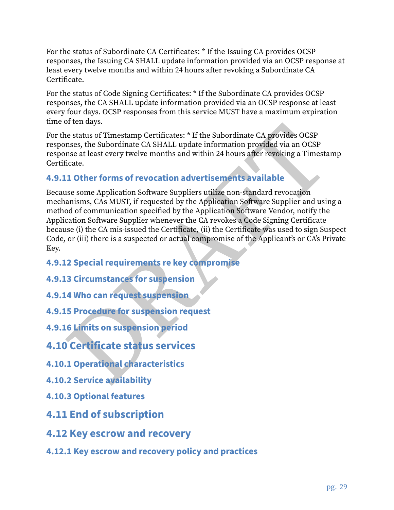For the status of Subordinate CA Certificates: \* If the Issuing CA provides OCSP responses, the Issuing CA SHALL update information provided via an OCSP response at least every twelve months and within 24 hours after revoking a Subordinate CA Certificate.

For the status of Code Signing Certificates: \* If the Subordinate CA provides OCSP responses, the CA SHALL update information provided via an OCSP response at least every four days. OCSP responses from this service MUST have a maximum expiration time of ten days.

For the status of Timestamp Certificates: \* If the Subordinate CA provides OCSP responses, the Subordinate CA SHALL update information provided via an OCSP response at least every twelve months and within 24 hours after revoking a Timestamp Certificate.

#### **4.9.11 Other forms of revocation advertisements available**

of entirelyss.<br>
Some status of Timestamp Certificates: \* If the Subordinate CA provides OCSP<br>
estatus of Timestamp Certificates: \* If the Subordinate CA provides OCSP<br>
mass at least every twelve months and within 24 hours Because some Application Software Suppliers utilize non‐standard revocation mechanisms, CAs MUST, if requested by the Application Software Supplier and using a method of communication specified by the Application Software Vendor, notify the Application Software Supplier whenever the CA revokes a Code Signing Certificate because (i) the CA mis‐issued the Certificate, (ii) the Certificate was used to sign Suspect Code, or (iii) there is a suspected or actual compromise of the Applicant's or CA's Private Key.

- **4.9.12 Special requirements re key compromise**
- **4.9.13 Circumstances for suspension**
- **4.9.14 Who can request suspension**
- **4.9.15 Procedure for suspension request**
- **4.9.16 Limits on suspension period**
- **4.10 Certificate status services**
- **4.10.1 Operational characteristics**
- <span id="page-29-0"></span>**4.10.2 Service availability**
- **4.10.3 Optional features**
- **4.11 End of subscription**
- **4.12 Key escrow and recovery**
- <span id="page-29-1"></span>**4.12.1 Key escrow and recovery policy and practices**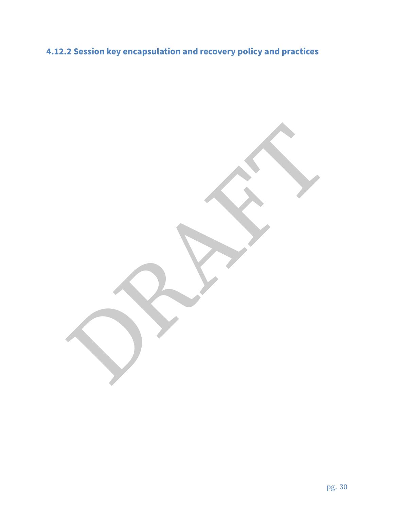# **4.12.2 Session key encapsulation and recovery policy and practices**

PRAFT.

pg. 30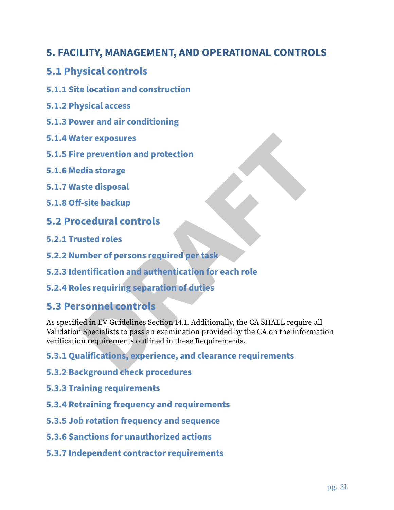# **5. FACILITY, MANAGEMENT, AND OPERATIONAL CONTROLS**

# **5.1 Physical controls**

- <span id="page-31-0"></span>**5.1.1 Site location and construction**
- **5.1.2 Physical access**
- **5.1.3 Power and air conditioning**
- **5.1.4 Water exposures**
- **5.1.5 Fire prevention and protection**
- **5.1.6 Media storage**
- **5.1.7 Waste disposal**
- **5.1.8 Off‑site backup**
- **5.2 Procedural controls**
- **5.2.1 Trusted roles**
- <span id="page-31-1"></span>**5.2.2 Number of persons required per task**
- **5.2.3 Identification and authentication for each role**
- **5.2.4 Roles requiring separation of duties**

# <span id="page-31-3"></span>**5.3 Personnel controls**

ater exposures<br>
re prevention and protection<br>
edia storage<br>
f-site backup<br> **DCC**<br> **DRAFT ACCCONTIFICATE ACCCONTING SET ACCCONTING SET ACCCONTING SET AND SET AND SET AND SET AND SET AND SET AND SET AND SPECIAL TREAL TREAL T** As specified in EV Guidelines Section 14.1. Additionally, the CA SHALL require all Validation Specialists to pass an examination provided by the CA on the information verification requirements outlined in these Requirements.

#### **5.3.1 Qualifications, experience, and clearance requirements**

- <span id="page-31-2"></span>**5.3.2 Background check procedures**
- **5.3.3 Training requirements**
- **5.3.4 Retraining frequency and requirements**
- **5.3.5 Job rotation frequency and sequence**
- **5.3.6 Sanctions for unauthorized actions**
- **5.3.7 Independent contractor requirements**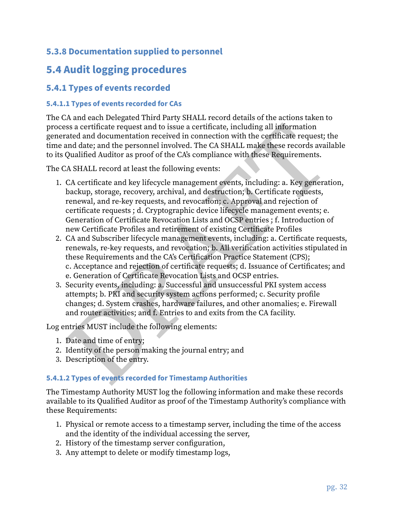#### **5.3.8 Documentation supplied to personnel**

# <span id="page-32-2"></span>**5.4 Audit logging procedures**

#### **5.4.1 Types of events recorded**

#### <span id="page-32-0"></span>**5.4.1.1 Types of events recorded for CAs**

The CA and each Delegated Third Party SHALL record details of the actions taken to process a certificate request and to issue a certificate, including all information generated and documentation received in connection with the certificate request; the time and date; and the personnel involved. The CA SHALL make these records available to its Qualified Auditor as proof of the CA's compliance with these Requirements.

The CA SHALL record at least the following events:

- issa a certificate request and to issue a certificate, including all information and documentation received in connection with the certificate request; the and date) and determination received. The CA SHALL make these rec 1. CA certificate and key lifecycle management events, including: a. Key generation, backup, storage, recovery, archival, and destruction; b. Certificate requests, renewal, and re‐key requests, and revocation; c. Approval and rejection of certificate requests ; d. Cryptographic device lifecycle management events; e. Generation of Certificate Revocation Lists and OCSP entries ; f. Introduction of new Certificate Profiles and retirement of existing Certificate Profiles
- 2. CA and Subscriber lifecycle management events, including: a. Certificate requests, renewals, re‐key requests, and revocation; b. All verification activities stipulated in these Requirements and the CA's Certification Practice Statement (CPS); c. Acceptance and rejection of certificate requests; d. Issuance of Certificates; and e. Generation of Certificate Revocation Lists and OCSP entries.
- 3. Security events, including: a. Successful and unsuccessful PKI system access attempts; b. PKI and security system actions performed; c. Security profile changes; d. System crashes, hardware failures, and other anomalies; e. Firewall and router activities; and f. Entries to and exits from the CA facility.

Log entries MUST include the following elements:

- 1. Date and time of entry;
- 2. Identity of the person making the journal entry; and
- <span id="page-32-1"></span>3. Description of the entry.

#### <span id="page-32-3"></span>**5.4.1.2 Types of events recorded for Timestamp Authorities**

The Timestamp Authority MUST log the following information and make these records available to its Qualified Auditor as proof of the Timestamp Authority's compliance with these Requirements:

- 1. Physical or remote access to a timestamp server, including the time of the access and the identity of the individual accessing the server,
- 2. History of the timestamp server configuration,
- 3. Any attempt to delete or modify timestamp logs,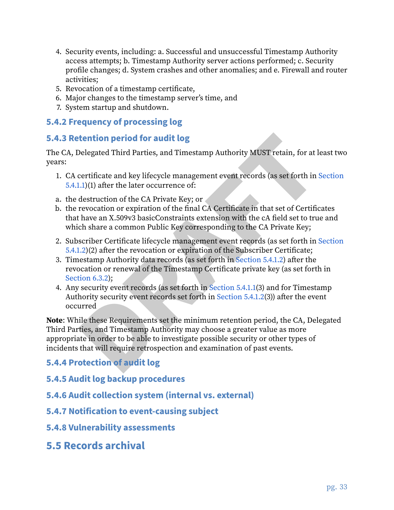- 4. Security events, including: a. Successful and unsuccessful Timestamp Authority access attempts; b. Timestamp Authority server actions performed; c. Security profile changes; d. System crashes and other anomalies; and e. Firewall and router activities;
- 5. Revocation of a timestamp certificate,
- 6. Major changes to the timestamp server's time, and
- <span id="page-33-0"></span>7. System startup and shutdown.

#### **5.4.2 Frequency of processing log**

#### **5.4.3 Retention period for audit log**

The CA, Delegated Third Parties, and Timestamp Authority MUST retain, for at least two years:

- 1. CA certificate and key lifecycle management event records (as set forth in [Section](#page-32-0) [5.4.1.1](#page-32-0))(1) after the later occurrence of:
- a. the destruction of the CA Private Key; or
- b. the revocation or expiration of the final CA Certificate in that set of Certificates that have an X.509v3 basicConstraints extension with the cA field set to true and which share a common Public Key corresponding to the CA Private Key;
- 2. Subscriber Certificate lifecycle management event records (as set forth in [Section](#page-32-3) [5.4.1.2](#page-32-3))(2) after the revocation or expiration of the Subscriber Certificate;
- 3. Timestamp Authority data records (as set forth in Section 5.4.1.2) after the revocation or renewal of the Timestamp Certificate private key (as set forth in [Section 6.3.2](#page-39-0));
- <span id="page-33-1"></span>4. Any security event records (as set forth in Section 5.4.1.1(3) and for Timestamp Authority security event records set forth in Section 5.4.1.2(3)) after the event occurred

**Example 2**<br>**Delegated Third Parties, and Timestamp** [A](#page-32-3)uthority MUST retain, for at least tecrtificate and key lifecycle management event records (as set forth in Section)(1) after the later occurrence of:<br> **LID(1)** after t **Note**: While these Requirements set the minimum retention period, the CA, Delegated Third Parties, and Timestamp Authority may choose a greater value as more appropriate in order to be able to investigate possible security or other types of incidents that will require retrospection and examination of past events.

#### **5.4.4 Protection of audit log**

#### **5.4.5 Audit log backup procedures**

- **5.4.6 Audit collection system (internal vs. external)**
- **5.4.7 Notification to event‑causing subject**
- **5.4.8 Vulnerability assessments**
- **5.5 Records archival**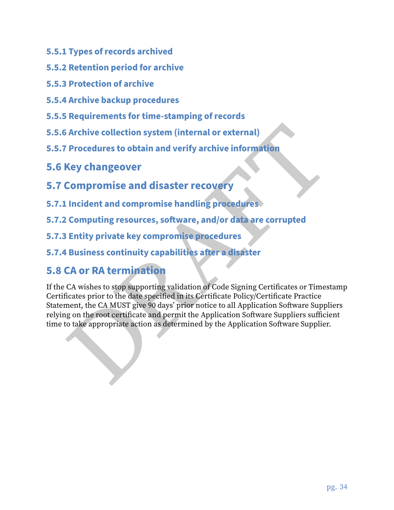- **5.5.1 Types of records archived**
- <span id="page-34-0"></span>**5.5.2 Retention period for archive**
- **5.5.3 Protection of archive**
- **5.5.4 Archive backup procedures**
- **5.5.5 Requirements for time‑stamping of records**
- **5.5.6 Archive collection system (internal or external)**
- **5.5.7 Procedures to obtain and verify archive information**
- **5.6 Key changeover**
- **5.7 Compromise and disaster recovery**
- **5.7.1 Incident and compromise handling procedures**
- <span id="page-34-1"></span>**5.7.2 Computing resources, software, and/or data are corrupted**
- **5.7.3 Entity private key compromise procedures**
- **5.7.4 Business continuity capabilities after a disaster**

# **5.8 CA or RA termination**

Sarchive collection system (internal or external)<br>
Procedures to obtain and verify archive information<br>
Key changeover<br>
Compromise and disaster recovery<br>
Lincident and compromise handling procedures<br>
Lincident and compromi If the CA wishes to stop supporting validation of Code Signing Certificates or Timestamp Certificates prior to the date specified in its Certificate Policy/Certificate Practice Statement, the CA MUST give 90 days' prior notice to all Application Software Suppliers relying on the root certificate and permit the Application Software Suppliers sufficient time to take appropriate action as determined by the Application Software Supplier.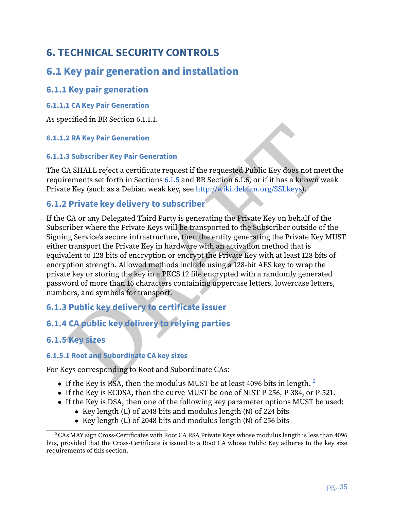# **6. TECHNICAL SECURITY CONTROLS**

# **6.1 Key pair generation and installation**

#### <span id="page-35-0"></span>**6.1.1 Key pair generation**

**6.1.1.1 CA Key Pair Generation**

<span id="page-35-1"></span>As specified in BR Section 6.1.1.1.

#### **6.1.1.2 RA Key Pair Generation**

#### **6.1.1.3 Subscriber Key Pair Generation**

The CA SHALL reject a certificate request if the requested Public Key does not meet the requirements set forth in Sections 6.1.5 and BR Section 6.1.6, or if it has a known weak Private Key (such as a Debian weak key, see http://wiki.debian.org/SSLkeys).

#### **6.1.2 Private key delivery to subscriber**

2 RA Key Pair Generation<br>
2 RA Key Pair Generation<br>
2 RA Key Pair Generation<br>
2 SHALL reject a certificate request if the requested Public Key does not meet the<br>
nements set forth in Sections 6.1.5 and BR Section 6.1.6, or If the CA or any Delegated Third Party is generating the Private Key on behalf of the Subscriber where the Private Keys will be transported to the Subscriber outside of the Signing Service's secure infrastructure, then the entity generating the Private Key MUST either transport the Private Key in hardware with an activation method that is equivalent to 128 bits of encryption or encrypt the Private Key with at least 128 bits of encryption strength. Allowed methods include using a 128‐bit AES key to wrap the private key or storing the key in a PKCS 12 file encrypted with a randomly generated password of more than 16 characters containing uppercase letters, lowercase letters, numbers, and symbols for transport.

#### **6.1.3 Public key delivery to certificate issuer**

# **6.1.4 CA public key delivery to relying parties**

#### <span id="page-35-3"></span>**6.1.5 Key sizes**

#### **6.1.5.1 Root and Subordinate CA key sizes**

<span id="page-35-2"></span>For Keys corresponding to Root and Subordinate CAs:

- If the Key is RSA, then the modulus MUST be at least 4096 bits in length.  $2^{\circ}$
- If the Key is ECDSA, then the curve MUST be one of NIST P-256, P-384, or P-521.
- If the Key is DSA, then one of the following key parameter options MUST be used:
	- Key length (L) of 2048 bits and modulus length (N) of 224 bits
	- Key length (L) of 2048 bits and modulus length (N) of 256 bits

<span id="page-35-4"></span> $2CAs$  MAY sign Cross-Certificates with Root CA RSA Private Keys whose modulus length is less than 4096 bits, provided that the Cross‐Certificate is issued to a Root CA whose Public Key adheres to the key size requirements of this section.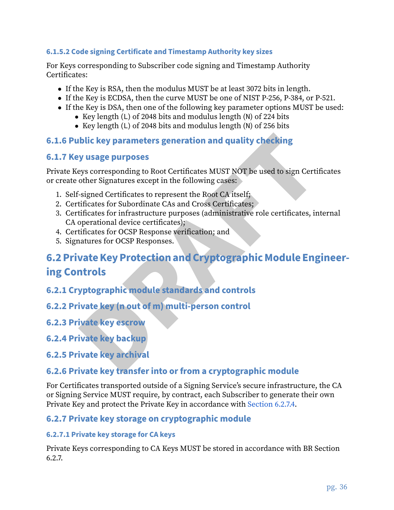#### **6.1.5.2 Code signing Certificate and Timestamp Authority key sizes**

For Keys corresponding to Subscriber code signing and Timestamp Authority Certificates:

- If the Key is RSA, then the modulus MUST be at least 3072 bits in length.
- If the Key is ECDSA, then the curve MUST be one of NIST P‐256, P‐384, or P‐521.
- If the Key is DSA, then one of the following key parameter options MUST be used:
	- Key length (L) of 2048 bits and modulus length (N) of 224 bits
	- Key length (L) of 2048 bits and modulus length (N) of 256 bits

#### **6.1.6 Public key parameters generation and quality checking**

#### **6.1.7 Key usage purposes**

Private Keys corresponding to Root Certificates MUST NOT be used to sign Certificates or create other Signatures except in the following cases:

- 1. Self‐signed Certificates to represent the Root CA itself;
- 2. Certificates for Subordinate CAs and Cross Certificates;
- 3. Certificates for infrastructure purposes (administrative role certificates, internal CA operational device certificates);
- 4. Certificates for OCSP Response verification; and
- <span id="page-36-0"></span>5. Signatures for OCSP Responses.

# **IDENTIFY SCHOTE SCHOTER CONDUCTS (SEE ALTERTATION INTERED)**<br>
Simulate Review Consequence Serves corresponding to Root Certificates MUST NOT be used to sign Certificate<br>
other Signatures except in the following cases:<br>
<br> **6.2 Private Key Protection and Cryptographic Module Engineer‑ ing Controls**

#### **6.2.1 Cryptographic module standards and controls**

- <span id="page-36-1"></span>**6.2.2 Private key (n out of m) multi‑person control**
- **6.2.3 Private key escrow**
- **6.2.4 Private key backup**
- **6.2.5 Private key archival**

#### **6.2.6 Private key transfer into or from a cryptographic module**

For Certificates transported outside of a Signing Service's secure infrastructure, the CA or Signing Service MUST require, by contract, each Subscriber to generate their own Private Key and protect the Private Key in accordance with [Section 6.2.7.4](#page-37-2).

#### **6.2.7 Private key storage on cryptographic module**

#### **6.2.7.1 Private key storage for CA keys**

<span id="page-36-2"></span>Private Keys corresponding to CA Keys MUST be stored in accordance with BR Section 6.2.7.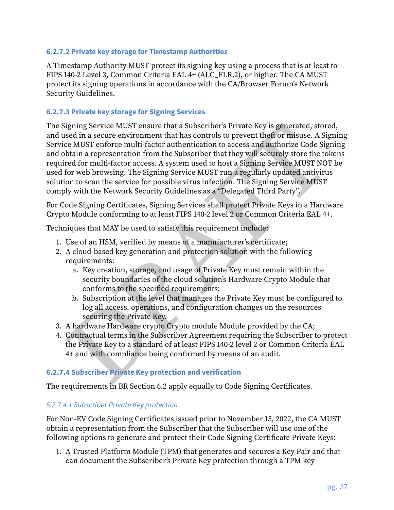#### **6.2.7.2 Private key storage for Timestamp Authorities**

A Timestamp Authority MUST protect its signing key using a process that is at least to FIPS 140‐2 Level 3, Common Criteria EAL 4+ (ALC\_FLR.2), or higher. The CA MUST protect its signing operations in accordance with the CA/Browser Forum's Network Security Guidelines.

#### <span id="page-37-3"></span>**6.2.7.3 Private key storage for Signing Services**

igning Service MUST ensure that a Subscriber's Private Key is generated, stored,<br>seed in a secure environment that has controls to prevent theft or missue.<br>A Signing<br>ce MUST enforce enuldi-factor authentication to access a The Signing Service MUST ensure that a Subscriber's Private Key is generated, stored, and used in a secure environment that has controls to prevent theft or misuse. A Signing Service MUST enforce multi‐factor authentication to access and authorize Code Signing and obtain a representation from the Subscriber that they will securely store the tokens required for multi‐factor access. A system used to host a Signing Service MUST NOT be used for web browsing. The Signing Service MUST run a regularly updated antivirus solution to scan the service for possible virus infection. The Signing Service MUST comply with the Network Security Guidelines as a "Delegated Third Party".

For Code Signing Certificates, Signing Services shall protect Private Keys in a Hardware Crypto Module conforming to at least FIPS 140‐2 level 2 or Common Criteria EAL 4+.

Techniques that MAY be used to satisfy this requirement include:

- 1. Use of an HSM, verified by means of a manufacturer's certificate;
- 2. A cloud‐based key generation and protection solution with the following requirements:
	- a. Key creation, storage, and usage of Private Key must remain within the security boundaries of the cloud solution's Hardware Crypto Module that conforms to the specified requirements;
	- b. Subscription at the level that manages the Private Key must be configured to log all access, operations, and configuration changes on the resources securing the Private Key.
- 3. A hardware Hardware crypto Crypto module Module provided by the CA;
- <span id="page-37-0"></span>4. Contractual terms in the Subscriber Agreement requiring the Subscriber to protect the Private Key to a standard of at least FIPS 140‐2 level 2 or Common Criteria EAL 4+ and with compliance being confirmed by means of an audit.

#### <span id="page-37-2"></span>**6.2.7.4 Subscriber Private Key protection and verification**

<span id="page-37-1"></span>The requirements in BR Section 6.2 apply equally to Code Signing Certificates.

#### *6.2.7.4.1 Subscriber Private Key protection*

For Non‐EV Code Signing Certificates issued prior to November 15, 2022, the CA MUST obtain a representation from the Subscriber that the Subscriber will use one of the following options to generate and protect their Code Signing Certificate Private Keys:

1. A Trusted Platform Module (TPM) that generates and secures a Key Pair and that can document the Subscriber's Private Key protection through a TPM key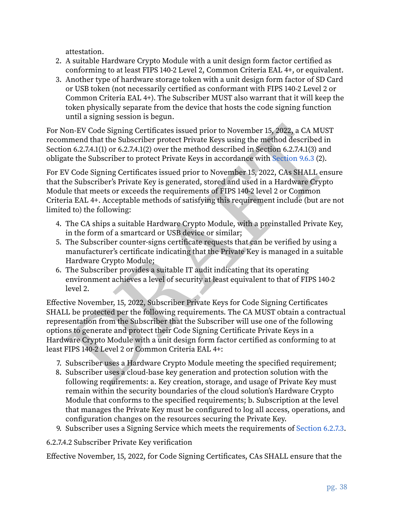attestation.

- 2. A suitable Hardware Crypto Module with a unit design form factor certified as conforming to at least FIPS 140‐2 Level 2, Common Criteria EAL 4+, or equivalent.
- 3. Another type of hardware storage token with a unit design form factor of SD Card or USB token (not necessarily certified as conformant with FIPS 140‐2 Level 2 or Common Criteria EAL 4+). The Subscriber MUST also warrant that it will keep the token physically separate from the device that hosts the code signing function until a signing session is begun.

For Non‐EV Code Signing Certificates issued prior to November 15, 2022, a CA MUST recommend that the Subscriber protect Private Keys using the method described in Section 6.2.7.4.1(1) or 6.2.7.4.1(2) over the method described in Section 6.2.7.4.1(3) and obligate the Subscriber to protect Private Keys in accordance with Section 9.6.3 (2).

For EV Code Signing Certificates issued prior to November 15, 2022, CAs SHALL ensure that the Subscriber's Private Key is generated, stored and used in a Hardware Crypto Module that meets or exceeds the requirements of FIPS 140‐2 level 2 or Common Criteria EAL 4+. Acceptable methods of satisfying this requirement include (but are not limited to) the following:

- 4. The CA ships a suitable Hardware Crypto Module, with a preinstalled Private Key, in the form of a smartcard or USB device or similar;
- 5. The Subscriber counter‐signs certificate requests that can be verified by using a manufacturer's certificate indicating that the Private Key is managed in a suitable Hardware Crypto Module;
- 6. The Subscriber provides a suitable IT audit indicating that its operating environment achieves a level of security at least equivalent to that of FIPS 140‐2 level 2.

on-EV Code Signing Certificates issued prior to November 15, 2022, a CA MUS[T](#page-57-1)<br>memend that the Subscriber protect Private Keys using the method described in<br>m 6.2.7.4.1(1) or 6.2.7.4.1(2) over the method described in Sectio Effective November, 15, 2022, Subscriber Private Keys for Code Signing Certificates SHALL be protected per the following requirements. The CA MUST obtain a contractual representation from the Subscriber that the Subscriber will use one of the following options to generate and protect their Code Signing Certificate Private Keys in a Hardware Crypto Module with a unit design form factor certified as conforming to at least FIPS 140‐2 Level 2 or Common Criteria EAL 4+:

- 7. Subscriber uses a Hardware Crypto Module meeting the specified requirement;
- 8. Subscriber uses a cloud‐base key generation and protection solution with the following requirements: a. Key creation, storage, and usage of Private Key must remain within the security boundaries of the cloud solution's Hardware Crypto Module that conforms to the specified requirements; b. Subscription at the level that manages the Private Key must be configured to log all access, operations, and configuration changes on the resources securing the Private Key.
- <span id="page-38-0"></span>9. Subscriber uses a Signing Service which meets the requirements of [Section 6.2.7.3](#page-37-3).

6.2.7.4.2 Subscriber Private Key verification

Effective November, 15, 2022, for Code Signing Certificates, CAs SHALL ensure that the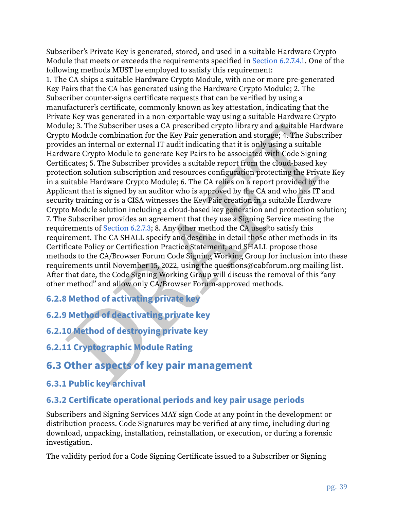Subscriber's Private Key is generated, stored, and used in a suitable Hardware Crypto Module that meets or exceeds the requirements specified in [Section 6.2.7.4.1](#page-37-1). One of the following methods MUST be employed to satisfy this requirement:

le; 3. The Subscriber uses a CA prescribed crypto library and a suitable Hardware<br>o Module combination for the Key Pair generation and storage; 4. The Subscriber<br>des an internal or external IT audit indicating that it is o 1. The CA ships a suitable Hardware Crypto Module, with one or more pre‐generated Key Pairs that the CA has generated using the Hardware Crypto Module; 2. The Subscriber counter‐signs certificate requests that can be verified by using a manufacturer's certificate, commonly known as key attestation, indicating that the Private Key was generated in a non‐exportable way using a suitable Hardware Crypto Module; 3. The Subscriber uses a CA prescribed crypto library and a suitable Hardware Crypto Module combination for the Key Pair generation and storage; 4. The Subscriber provides an internal or external IT audit indicating that it is only using a suitable Hardware Crypto Module to generate Key Pairs to be associated with Code Signing Certificates; 5. The Subscriber provides a suitable report from the cloud‐based key protection solution subscription and resources configuration protecting the Private Key in a suitable Hardware Crypto Module; 6. The CA relies on a report provided by the Applicant that is signed by an auditor who is approved by the CA and who has IT and security training or is a CISA witnesses the Key Pair creation in a suitable Hardware Crypto Module solution including a cloud‐based key generation and protection solution; 7. The Subscriber provides an agreement that they use a Signing Service meeting the requirements of Section 6.2.7.3; 8. Any other method the CA uses to satisfy this requirement. The CA SHALL specify and describe in detail those other methods in its Certificate Policy or Certification Practice Statement, and SHALL propose those methods to the CA/Browser Forum Code Signing Working Group for inclusion into these requirements until November 15, 2022, using the questions@cabforum.org mailing list. After that date, the Code Signing Working Group will discuss the removal of this "any other method" and allow only CA/Browser Forum‐approved methods.

- **6.2.8 Method of activating private key**
- **6.2.9 Method of deactivating private key**
- **6.2.10 Method of destroying private key**
- **6.2.11 Cryptographic Module Rating**

# **6.3 Other aspects of key pair management**

# **6.3.1 Public key archival**

#### <span id="page-39-0"></span>**6.3.2 Certificate operational periods and key pair usage periods**

Subscribers and Signing Services MAY sign Code at any point in the development or distribution process. Code Signatures may be verified at any time, including during download, unpacking, installation, reinstallation, or execution, or during a forensic investigation.

The validity period for a Code Signing Certificate issued to a Subscriber or Signing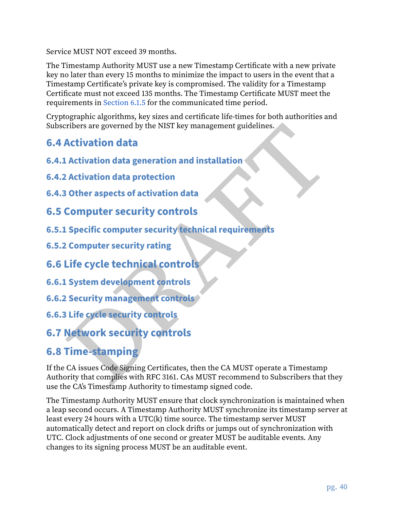Service MUST NOT exceed 39 months.

The Timestamp Authority MUST use a new Timestamp Certificate with a new private key no later than every 15 months to minimize the impact to users in the event that a Timestamp Certificate's private key is compromised. The validity for a Timestamp Certificate must not exceed 135 months. The Timestamp Certificate MUST meet the requirements in [Section 6.1.5](#page-35-3) for the communicated time period.

Cryptographic algorithms, key sizes and certificate life‐times for both authorities and Subscribers are governed by the NIST key management guidelines.

# **6.4 Activation data**

**6.4.1 Activation data generation and installation**

- <span id="page-40-0"></span>**6.4.2 Activation data protection**
- **6.4.3 Other aspects of activation data**
- **6.5 Computer security controls**
- **6.5.1 Specific computer security technical requirements**
- <span id="page-40-1"></span>**6.5.2 Computer security rating**
- **6.6 Life cycle technical controls**
- **6.6.1 System development controls**
- <span id="page-40-2"></span>**6.6.2 Security management controls**
- **6.6.3 Life cycle security controls**
- **6.7 Network security controls**

# **6.8 Time‑stamping**

ribers are governed by the NIST key management guidelines.<br>
Activation data<br>
Activation data generation and installation<br>
2. Other aspects of activation data<br>
Computer security controls<br>
2. Specific computer security ratin If the CA issues Code Signing Certificates, then the CA MUST operate a Timestamp Authority that complies with RFC 3161. CAs MUST recommend to Subscribers that they use the CA's Timestamp Authority to timestamp signed code.

The Timestamp Authority MUST ensure that clock synchronization is maintained when a leap second occurs. A Timestamp Authority MUST synchronize its timestamp server at least every 24 hours with a UTC(k) time source. The timestamp server MUST automatically detect and report on clock drifts or jumps out of synchronization with UTC. Clock adjustments of one second or greater MUST be auditable events. Any changes to its signing process MUST be an auditable event.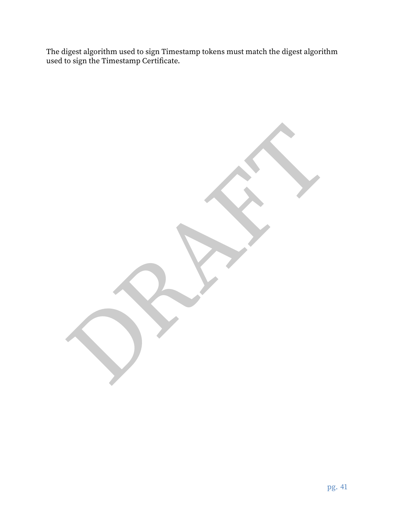The digest algorithm used to sign Timestamp tokens must match the digest algorithm used to sign the Timestamp Certificate.

PRAFT.

pg. 41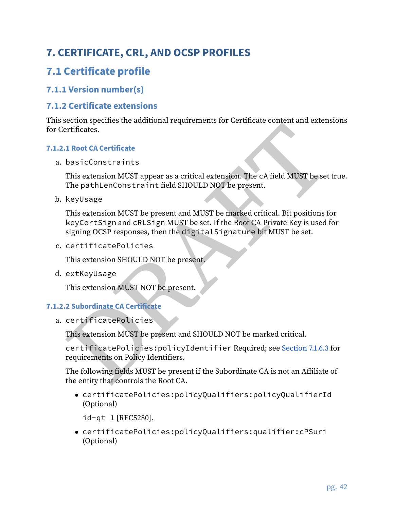# **7. CERTIFICATE, CRL, AND OCSP PROFILES**

# **7.1 Certificate profile**

#### <span id="page-42-0"></span>**7.1.1 Version number(s)**

#### **7.1.2 Certificate extensions**

This section specifies the additional requirements for Certificate content and extensions for Certificates.

#### <span id="page-42-3"></span><span id="page-42-1"></span>**7.1.2.1 Root CA Certificate**

a. basicConstraints

This extension MUST appear as a critical extension. The cA field MUST be set true. The pathLenConstraint field SHOULD NOT be present.

b. keyUsage

ectan<br>
specificates.<br>
Thiffeates.<br>
This extension MUST appear as a critical extension. The cA field MUST be set true.<br>
This extension MUST appear as a critical extension. The cA field MUST be set true.<br>
This extension MUST This extension MUST be present and MUST be marked critical. Bit positions for keyCertSign and cRLSign MUST be set. If the Root CA Private Key is used for signing OCSP responses, then the digitalSignature bit MUST be set.

c. certificatePolicies

This extension SHOULD NOT be present.

<span id="page-42-2"></span>d. extKeyUsage

This extension MUST NOT be present.

#### <span id="page-42-4"></span>**7.1.2.2 Subordinate CA Certificate**

a. certificatePolicies

This extension MUST be present and SHOULD NOT be marked critical.

certificatePolicies:policyIdentifier Required; see Section 7.1.6.3 for requirements on Policy Identifiers.

The following fields MUST be present if the Subordinate CA is not an Affiliate of the entity that controls the Root CA.

• certificatePolicies:policyQualifiers:policyQualifierId (Optional)

id-qt 1 [RFC5280].

• certificatePolicies:policyQualifiers:qualifier:cPSuri (Optional)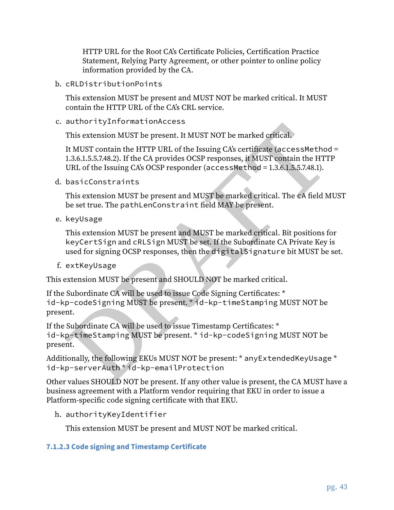HTTP URL for the Root CA's Certificate Policies, Certification Practice Statement, Relying Party Agreement, or other pointer to online policy information provided by the CA.

b. cRLDistributionPoints

This extension MUST be present and MUST NOT be marked critical. It MUST contain the HTTP URL of the CA's CRL service.

c. authorityInformationAccess

This extension MUST be present. It MUST NOT be marked critical.

It MUST contain the HTTP URL of the Issuing CA's certificate (accessMethod = 1.3.6.1.5.5.7.48.2). If the CA provides OCSP responses, it MUST contain the HTTP URL of the Issuing CA's OCSP responder (accessMethod = 1.3.6.1.5.5.7.48.1).

d. basicConstraints

This extension MUST be present and MUST be marked critical. The cA field MUST be set true. The pathLenConstraint field MAY be present.

e. keyUsage

This extension MUST be present. It MUST NOT be marked critical.<br>This extension MUST be present. It MUST NOT be marked critical.<br>It MUST contain the HTTP URL of the Issuing CA's certificate (accessMethod =<br>1.3.6.1.5.5.7.48 This extension MUST be present and MUST be marked critical. Bit positions for keyCertSign and cRLSign MUST be set. If the Subordinate CA Private Key is used for signing OCSP responses, then the digitalSignature bit MUST be set.

f. extKeyUsage

This extension MUST be present and SHOULD NOT be marked critical.

If the Subordinate CA will be used to issue Code Signing Certificates: \* id-kp-codeSigning MUST be present. \* id-kp-timeStamping MUST NOT be present.

If the Subordinate CA will be used to issue Timestamp Certificates: \* id-kp-timeStamping MUST be present. \* id-kp-codeSigning MUST NOT be present.

Additionally, the following EKUs MUST NOT be present: \* anyExtendedKeyUsage \* id-kp-serverAuth \* id-kp-emailProtection

Other values SHOULD NOT be present. If any other value is present, the CA MUST have a business agreement with a Platform vendor requiring that EKU in order to issue a Platform‐specific code signing certificate with that EKU.

<span id="page-43-0"></span>h. authorityKeyIdentifier

This extension MUST be present and MUST NOT be marked critical.

#### <span id="page-43-1"></span>**7.1.2.3 Code signing and Timestamp Certificate**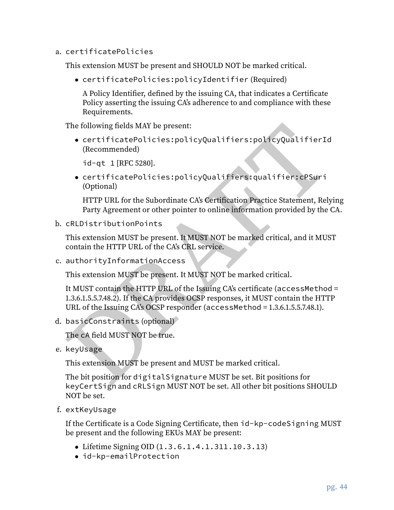a. certificatePolicies

This extension MUST be present and SHOULD NOT be marked critical.

• certificatePolicies:policyIdentifier (Required)

A Policy Identifier, defined by the issuing CA, that indicates a Certificate Policy asserting the issuing CA's adherence to and compliance with these Requirements.

The following fields MAY be present:

• certificatePolicies:policyQualifiers:policyQualifierId (Recommended)

id-qt 1 [RFC 5280].

• certificatePolicies:policyQualifiers:qualifier:cPSuri (Optional)

HTTP URL for the Subordinate CA's Certification Practice Statement, Relying Party Agreement or other pointer to online information provided by the CA.

b. cRLDistributionPoints

This extension MUST be present. It MUST NOT be marked critical, and it MUST contain the HTTP URL of the CA's CRL service.

c. authorityInformationAccess

This extension MUST be present. It MUST NOT be marked critical.

The following fields MAY be present:<br>
• certificatePolicies:policyQualifiers:policyQualifierId<br>
(Recommended)<br>
id-qt 1 [RFC 5280].<br>
• certificatePolicies:policyQualifiers:qualifier:cePSuri<br>
(Optional)<br>
HTTP URL for the Sub It MUST contain the HTTP URL of the Issuing CA's certificate (accessMethod = 1.3.6.1.5.5.7.48.2). If the CA provides OCSP responses, it MUST contain the HTTP URL of the Issuing CA's OCSP responder (accessMethod = 1.3.6.1.5.5.7.48.1).

d. basicConstraints (optional)

The cA field MUST NOT be true.

e. keyUsage

This extension MUST be present and MUST be marked critical.

The bit position for digitalSignature MUST be set. Bit positions for keyCertSign and cRLSign MUST NOT be set. All other bit positions SHOULD NOT be set.

f. extKeyUsage

If the Certificate is a Code Signing Certificate, then id-kp-codeSigning MUST be present and the following EKUs MAY be present:

- Lifetime Signing OID (1.3.6.1.4.1.311.10.3.13)
- id-kp-emailProtection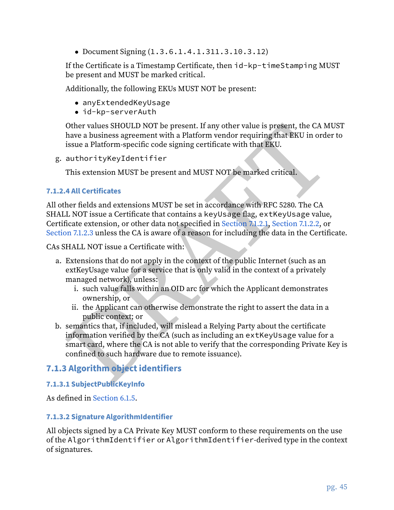• Document Signing (1.3.6.1.4.1.311.3.10.3.12)

If the Certificate is a Timestamp Certificate, then id-kp-timeStamping MUST be present and MUST be marked critical.

Additionally, the following EKUs MUST NOT be present:

- anyExtendedKeyUsage
- id-kp-serverAuth

Other values SHOULD NOT be present. If any other value is present, the CA MUST have a business agreement with a Platform vendor requiring that EKU in order to issue a Platform‐specific code signing certificate with that EKU.

<span id="page-45-0"></span>g. authorityKeyIdentifier

This extension MUST be present and MUST NOT be marked critical.

#### **7.1.2.4 All Certificates**

All other fields and extensions MUST be set in accordance with RFC 5280. The CA SHALL NOT issue a Certificate that contains a keyUsage flag, extKeyUsage value, Certificate extension, or other data not specified in Section 7.1.2.1, Section 7.1.2.2, or [Section 7.1.2.3](#page-43-1) unless the CA is aware of a reason for including the data in the Certificate.

CAs SHALL NOT issue a Certificate with:

- a. Extensions that do not apply in the context of the public Internet (such as an extKeyUsage value for a service that is only valid in the context of a privately managed network), unless:
	- i. such value falls within an OID arc for which the Applicant demonstrates ownership, or
	- ii. the Applicant can otherwise demonstrate the right to assert the data in a public context; or
- Other values SHOULD NOT be present. If any other value is present, the CA MUST<br>have a business agreement with a Platform vendor requiring that EKU in order to<br>issue a Platform specific code signing certificate with that EK b. semantics that, if included, will mislead a Relying Party about the certificate information verified by the CA (such as including an extKeyUsage value for a smart card, where the CA is not able to verify that the corresponding Private Key is confined to such hardware due to remote issuance).

#### <span id="page-45-1"></span>**7.1.3 Algorithm object identifiers**

#### **7.1.3.1 SubjectPublicKeyInfo**

<span id="page-45-2"></span>As defined in [Section 6.1.5.](#page-35-3)

#### **7.1.3.2 Signature AlgorithmIdentifier**

All objects signed by a CA Private Key MUST conform to these requirements on the use of the AlgorithmIdentifier or AlgorithmIdentifier‐derived type in the context of signatures.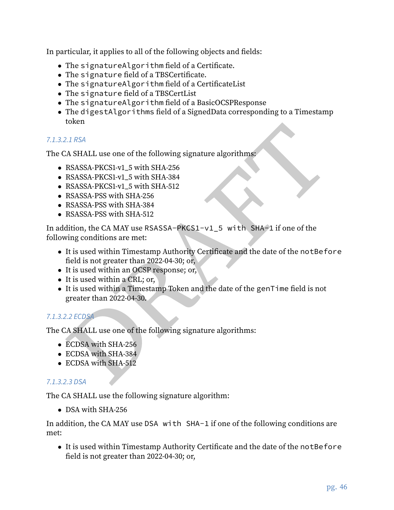In particular, it applies to all of the following objects and fields:

- The signatureAlgorithm field of a Certificate.
- The signature field of a TBSCertificate.
- The signatureAlgorithm field of a CertificateList
- The signature field of a TBSCertList
- The signatureAlgorithm field of a BasicOCSPResponse
- The digestAlgorithms field of a SignedData corresponding to a Timestamp token

#### *7.1.3.2.1 RSA*

The CA SHALL use one of the following signature algorithms:

- RSASSA-PKCS1-v1\_5 with SHA-256
- RSASSA‐PKCS1‐v1\_5 with SHA‐384
- RSASSA-PKCS1-v1\_5 with SHA-512
- RSASSA-PSS with SHA-256
- RSASSA‐PSS with SHA‐384
- RSASSA-PSS with SHA-512

In addition, the CA MAY use RSASSA-PKCS1-v1\_5 with SHA-1 if one of the following conditions are met:

- DREIT INSTANTS IN STATE of the following signature algorithms:<br>
A SHALL use one of the following signature algorithms:<br>
RSASSA-PKCS1-v1.5 with SHA-256<br>
RSASSA-PSS with SHA-256<br>
RSASSA-PSS with SHA-256<br>
RSASSA-PSS with SHA-• It is used within Timestamp Authority Certificate and the date of the notBefore field is not greater than 2022‐04‐30; or,
- It is used within an OCSP response; or,
- It is used within a CRL; or,
- It is used within a Timestamp Token and the date of the genTime field is not greater than 2022‐04‐30.

#### *7.1.3.2.2 ECDSA*

The CA SHALL use one of the following signature algorithms:

- ECDSA with SHA‐256
- ECDSA with SHA-384
- ECDSA with SHA‐512

#### *7.1.3.2.3 DSA*

The CA SHALL use the following signature algorithm:

• DSA with SHA-256

In addition, the CA MAY use DSA with SHA-1 if one of the following conditions are met:

• It is used within Timestamp Authority Certificate and the date of the notBefore field is not greater than 2022‐04‐30; or,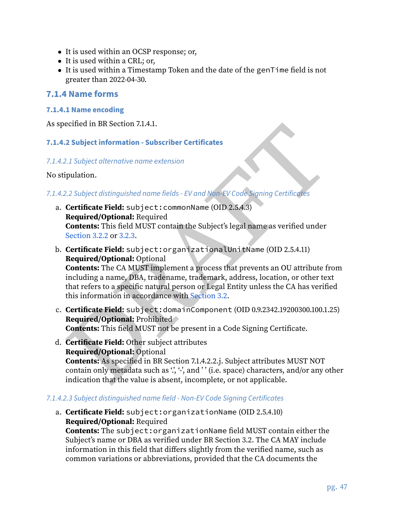- It is used within an OCSP response; or,
- It is used within a CRL; or,
- It is used within a Timestamp Token and the date of the genTime field is not greater than 2022‐04‐30.

#### **7.1.4 Name forms**

#### **7.1.4.1 Name encoding**

<span id="page-47-0"></span>As specified in BR Section 7.1.4.1.

#### **7.1.4.2 Subject information ‑ Subscriber Certificates**

#### *7.1.4.2.1 Subject alternative name extension*

#### No stipulation.

#### *7.1.4.2.2 Subject distinguished name fields ‑ EV and Non‑EV Code Signing Certificates*

- a. **Certificate Field:** subject:commonName (OID 2.5.4.3) **Required/Optional:** Required **Contents:** This field MUST contain the Subject's legal name as verified under Section 3.2.2 or 3.2.3.
- ecified in BR Section 7.1.4.1.<br>
2. Subject information Subscriber Certificates<br>
2.1 Subject diternative name extension<br>
pulation.<br>
2.2 Subject distinguished name fields EV and N6n-EV Code Signing Certificates<br> **Certifi** b. **Certificate Field:** subject:organizationalUnitName (OID 2.5.4.11) **Required/Optional:** Optional **Contents:** The CA MUST implement a process that prevents an OU attribute from including a name, DBA, tradename, trademark, address, location, or other text that refers to a specific natural person or Legal Entity unless the CA has verified this information in accordance with Section 3.2.
- c. **Certificate Field:** subject:domainComponent (OID 0.9.2342.19200300.100.1.25) **Required/Optional:** Prohibited **Contents:** This field MUST not be present in a Code Signing Certificate.
- d. **Certificate Field:** Other subject attributes **Required/Optional:** Optional **Contents:** As specified in BR Section 7.1.4.2.2.j. Subject attributes MUST NOT contain only metadata such as ", "', and '' (i.e. space) characters, and/or any other indication that the value is absent, incomplete, or not applicable.

#### *7.1.4.2.3 Subject distinguished name field ‑ Non‑EV Code Signing Certificates*

a. **Certificate Field:** subject:organizationName (OID 2.5.4.10) **Required/Optional:** Required

**Contents:** The subject:organizationName field MUST contain either the Subject's name or DBA as verified under BR Section 3.2. The CA MAY include information in this field that differs slightly from the verified name, such as common variations or abbreviations, provided that the CA documents the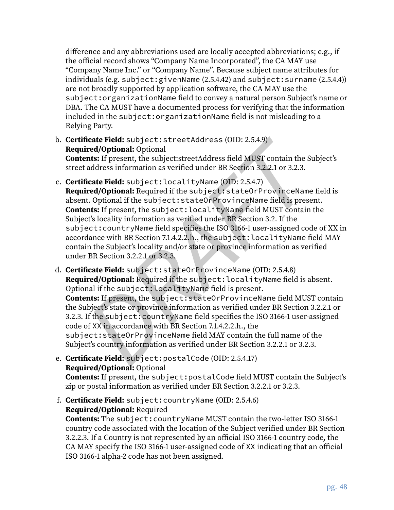difference and any abbreviations used are locally accepted abbreviations; e.g., if the official record shows "Company Name Incorporated", the CA MAY use "Company Name Inc." or "Company Name". Because subject name attributes for individuals (e.g. subject:givenName (2.5.4.42) and subject:surname (2.5.4.4)) are not broadly supported by application software, the CA MAY use the subject:organizationName field to convey a natural person Subject's name or DBA. The CA MUST have a documented process for verifying that the information included in the subject:organizationName field is not misleading to a Relying Party.

b. **Certificate Field:** subject:streetAddress (OID: 2.5.4.9) **Required/Optional:** Optional

**Contents:** If present, the subject:streetAddress field MUST contain the Subject's street address information as verified under BR Section 3.2.2.1 or 3.2.3.

- c. **Certificate Field:** subject:localityName (OID: 2.5.4.7) **Required/Optional:** Required if the subject:stateOrProvinceName field is absent. Optional if the subject:stateOrProvinceName field is present. **Contents:** If present, the subject:localityName field MUST contain the Subject's locality information as verified under BR Section 3.2. If the subject: countryName field specifies the ISO 3166-1 user-assigned code of XX in accordance with BR Section 7.1.4.2.2.h., the subject:localityName field MAY contain the Subject's locality and/or state or province information as verified under BR Section 3.2.2.1 or 3.2.3.
- **ficate Field:** subject: streetAddress (OID: 2.5.4.9)<br> **Pred/Optional:** Optional: Optional:<br> **Present,** the subject:streetAddress field MUST contain the Subject<br>
address information as verified under BR Section 3.2.2.1 or d. **Certificate Field:** subject:stateOrProvinceName (OID: 2.5.4.8) **Required/Optional:** Required if the subject:localityName field is absent. Optional if the subject:localityName field is present. **Contents:** If present, the subject:stateOrProvinceName field MUST contain the Subject's state or province information as verified under BR Section 3.2.2.1 or 3.2.3. If the subject:countryName field specifies the ISO 3166‐1 user‐assigned code of XX in accordance with BR Section 7.1.4.2.2.h., the subject:stateOrProvinceName field MAY contain the full name of the Subject's country information as verified under BR Section 3.2.2.1 or 3.2.3.
- e. **Certificate Field:** subject:postalCode (OID: 2.5.4.17) **Required/Optional:** Optional **Contents:** If present, the subject:postalCode field MUST contain the Subject's zip or postal information as verified under BR Section 3.2.2.1 or 3.2.3.
- f. **Certificate Field:** subject:countryName (OID: 2.5.4.6) **Required/Optional:** Required

**Contents:** The subject:countryName MUST contain the two‐letter ISO 3166‐1 country code associated with the location of the Subject verified under BR Section 3.2.2.3. If a Country is not represented by an official ISO 3166‐1 country code, the CA MAY specify the ISO 3166‐1 user‐assigned code of XX indicating that an official ISO 3166‐1 alpha‐2 code has not been assigned.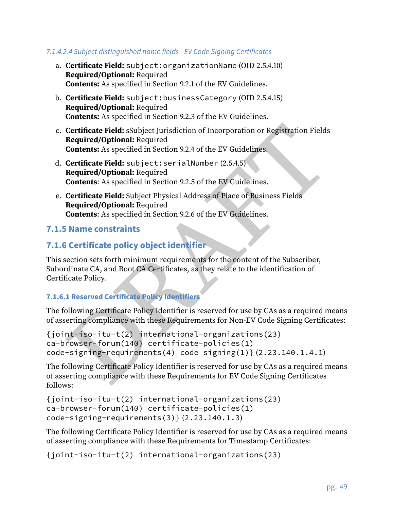#### *7.1.4.2.4 Subject distinguished name fields ‑ EV Code Signing Certificates*

- a. **Certificate Field:** subject:organizationName (OID 2.5.4.10) **Required/Optional:** Required **Contents:** As specified in Section 9.2.1 of the EV Guidelines.
- b. **Certificate Field:** subject:businessCategory (OID 2.5.4.15) **Required/Optional:** Required **Contents:** As specified in Section 9.2.3 of the EV Guidelines.
- c. **Certificate Field:** sSubject Jurisdiction of Incorporation or Registration Fields **Required/Optional:** Required **Contents:** As specified in Section 9.2.4 of the EV Guidelines.
- d. **Certificate Field:** subject:serialNumber (2.5.4.5) **Required/Optional:** Required **Contents**: As specified in Section 9.2.5 of the EV Guidelines.
- <span id="page-49-0"></span>e. **Certificate Field:** Subject Physical Address of Place of Business Fields **Required/Optional:** Required **Contents**: As specified in Section 9.2.6 of the EV Guidelines.

#### **7.1.5 Name constraints**

#### **7.1.6 Certificate policy object identifier**

This section sets forth minimum requirements for the content of the Subscriber, Subordinate CA, and Root CA Certificates, as they relate to the identification of Certificate Policy.

#### <span id="page-49-2"></span>**7.1.6.1 Reserved Certificate Policy Identifiers**

<span id="page-49-1"></span>The following Certificate Policy Identifier is reserved for use by CAs as a required means of asserting compliance with these Requirements for Non‐EV Code Signing Certificates:

```
Certificate Field: sSubject Jurisdiction of Incorporation or Registration Fields<br>
Required/Optional: Required<br>
Certificate Field: subject : serial Number (2.5.4.5)<br>
Certificate Field: subject : serial Number (2.5.4.5)<br>
Req
{joint-iso-itu-t(2) international-organizations(23)
ca-browser-forum(140) certificate-policies(1)
code-signing-requirements(4) code signing(1)} (2.23.140.1.4.1)
```
The following Certificate Policy Identifier is reserved for use by CAs as a required means of asserting compliance with these Requirements for EV Code Signing Certificates follows:

```
{joint-iso-itu-t(2) international-organizations(23)
ca-browser-forum(140) certificate-policies(1)
code-signing-requirements(3)} (2.23.140.1.3)
```
The following Certificate Policy Identifier is reserved for use by CAs as a required means of asserting compliance with these Requirements for Timestamp Certificates:

```
{joint-iso-itu-t(2) international-organizations(23)
```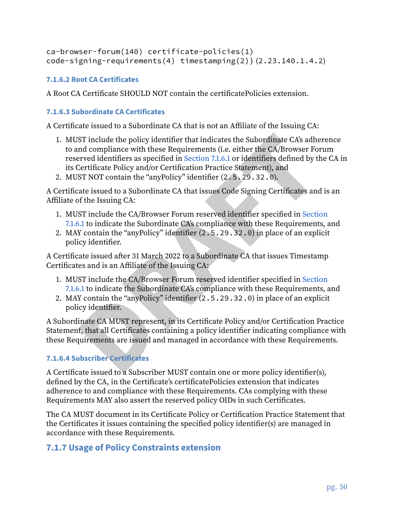```
ca-browser-forum(140) certificate-policies(1)
code-signing-requirements(4) timestamping(2)} (2.23.140.1.4.2)
```
#### **7.1.6.2 Root CA Certificates**

<span id="page-50-1"></span>A Root CA Certificate SHOULD NOT contain the certificatePolicies extension.

#### **7.1.6.3 Subordinate CA Certificates**

A Certificate issued to a Subordinate CA that is not an Affiliate of the Issuing CA:

- ST include the policy identifier that indicates the Subordinate CA's adherence and compliance with these Requirements (i.e. either the CA/Browser Forum erret didentifiers as specified in Section 21.6.1 or identifiers denee 1. MUST include the policy identifier that indicates the Subordinate CA's adherence to and compliance with these Requirements (i.e. either the CA/Browser Forum reserved identifiers as specified in Section 7.1.6.1 or identifiers defined by the CA in its Certificate Policy and/or Certification Practice Statement), and
- 2. MUST NOT contain the "anyPolicy" identifier (2.5.29.32.0).

A Certificate issued to a Subordinate CA that issues Code Signing Certificates and is an Affiliate of the Issuing CA:

- 1. MUST include the CA/Browser Forum reserved identifier specified in [Section](#page-49-2) [7.1.6.1](#page-49-2) to indicate the Subordinate CA's compliance with these Requirements, and
- 2. MAY contain the "anyPolicy" identifier (2.5.29.32.0) in place of an explicit policy identifier.

A Certificate issued after 31 March 2022 to a Subordinate CA that issues Timestamp Certificates and is an Affiliate of the Issuing CA:

- 1. MUST include the CA/Browser Forum reserved identifier specified in [Section](#page-49-2) [7.1.6.1](#page-49-2) to indicate the Subordinate CA's compliance with these Requirements, and
- <span id="page-50-0"></span>2. MAY contain the "anyPolicy" identifier (2.5.29.32.0) in place of an explicit policy identifier.

A Subordinate CA MUST represent, in its Certificate Policy and/or Certification Practice Statement, that all Certificates containing a policy identifier indicating compliance with these Requirements are issued and managed in accordance with these Requirements.

#### **7.1.6.4 Subscriber Certificates**

A Certificate issued to a Subscriber MUST contain one or more policy identifier(s), defined by the CA, in the Certificate's certificatePolicies extension that indicates adherence to and compliance with these Requirements. CAs complying with these Requirements MAY also assert the reserved policy OIDs in such Certificates.

The CA MUST document in its Certificate Policy or Certification Practice Statement that the Certificates it issues containing the specified policy identifier(s) are managed in accordance with these Requirements.

#### **7.1.7 Usage of Policy Constraints extension**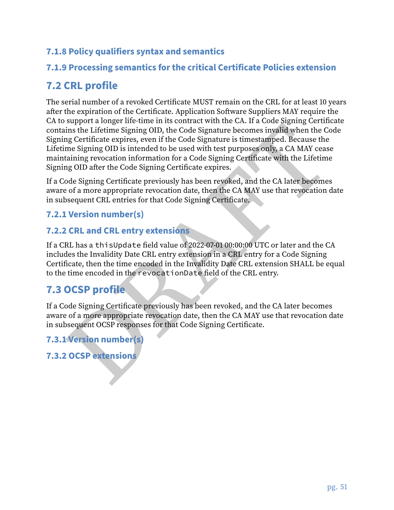#### **7.1.8 Policy qualifiers syntax and semantics**

# **7.1.9 Processing semantics for the critical Certificate Policies extension**

# **7.2 CRL profile**

support a onger memein this conduct wind in ex. in a colub sying elementation<br>ins the Lifetime Signing OID, the Code Signature becomes invalid when the Code<br>of greefficate expires, even if the Code Signature becomes invali The serial number of a revoked Certificate MUST remain on the CRL for at least 10 years after the expiration of the Certificate. Application Software Suppliers MAY require the CA to support a longer life‐time in its contract with the CA. If a Code Signing Certificate contains the Lifetime Signing OID, the Code Signature becomes invalid when the Code Signing Certificate expires, even if the Code Signature is timestamped. Because the Lifetime Signing OID is intended to be used with test purposes only, a CA MAY cease maintaining revocation information for a Code Signing Certificate with the Lifetime Signing OID after the Code Signing Certificate expires.

If a Code Signing Certificate previously has been revoked, and the CA later becomes aware of a more appropriate revocation date, then the CA MAY use that revocation date in subsequent CRL entries for that Code Signing Certificate.

#### **7.2.1 Version number(s)**

#### <span id="page-51-0"></span>**7.2.2 CRL and CRL entry extensions**

If a CRL has a thisUpdate field value of 2022‐07‐01 00:00:00 UTC or later and the CA includes the Invalidity Date CRL entry extension in a CRL entry for a Code Signing Certificate, then the time encoded in the Invalidity Date CRL extension SHALL be equal to the time encoded in the revocationDate field of the CRL entry.

# **7.3 OCSP profile**

If a Code Signing Certificate previously has been revoked, and the CA later becomes aware of a more appropriate revocation date, then the CA MAY use that revocation date in subsequent OCSP responses for that Code Signing Certificate.

**7.3.1 Version number(s)**

<span id="page-51-2"></span><span id="page-51-1"></span>**7.3.2 OCSP extensions**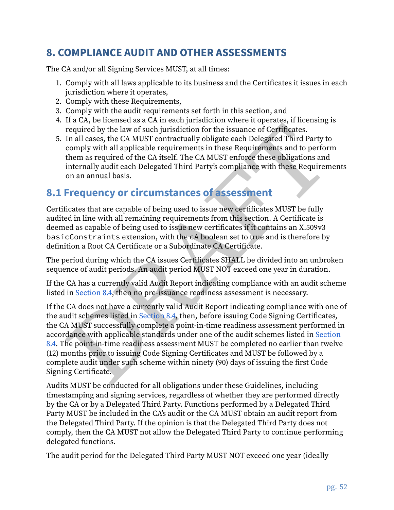# **8. COMPLIANCE AUDIT AND OTHER ASSESSMENTS**

The CA and/or all Signing Services MUST, at all times:

- 1. Comply with all laws applicable to its business and the Certificates it issues in each jurisdiction where it operates,
- 2. Comply with these Requirements,
- 3. Comply with the audit requirements set forth in this section, and
- 4. If a CA, be licensed as a CA in each jurisdiction where it operates, if licensing is required by the law of such jurisdiction for the issuance of Certificates.
- <span id="page-52-0"></span>5. In all cases, the CA MUST contractually obligate each Delegated Third Party to comply with all applicable requirements in these Requirements and to perform them as required of the CA itself. The CA MUST enforce these obligations and internally audit each Delegated Third Party's compliance with these Requirements on an annual basis.

# **8.1 Frequency or circumstances of assessment**

Certificates that are capable of being used to issue new certificates MUST be fully audited in line with all remaining requirements from this section. A Certificate is deemed as capable of being used to issue new certificates if it contains an X.509v3 basicConstraints extension, with the cA boolean set to true and is therefore by definition a Root CA Certificate or a Subordinate CA Certificate.

The period during which the CA issues Certificates SHALL be divided into an unbroken sequence of audit periods. An audit period MUST NOT exceed one year in duration.

If the CA has a currently valid Audit Report indicating compliance with an audit scheme listed in Section 8.4, then no pre‐issuance readiness assessment is necessary.

re cuy, to necession at a contract and an increasing the required by the law of such jurisdiction for the issuance of Certificates.<br>The law of such jurisdiction for the issuance of Certificates.<br>The law of such jurisdictio If the CA does not have a currently valid Audit Report indicating compliance with one of the audit schemes listed in Section 8.4, then, before issuing Code Signing Certificates, the CA MUST successfully complete a point‐in‐time readiness assessment performed in accordance with applicable standards under one of the audit schemes listed in [Section](#page-53-1) [8.4](#page-53-1). The point-in-time readiness assessment MUST be completed no earlier than twelve (12) months prior to issuing Code Signing Certificates and MUST be followed by a complete audit under such scheme within ninety (90) days of issuing the first Code Signing Certificate.

Audits MUST be conducted for all obligations under these Guidelines, including timestamping and signing services, regardless of whether they are performed directly by the CA or by a Delegated Third Party. Functions performed by a Delegated Third Party MUST be included in the CA's audit or the CA MUST obtain an audit report from the Delegated Third Party. If the opinion is that the Delegated Third Party does not comply, then the CA MUST not allow the Delegated Third Party to continue performing delegated functions.

The audit period for the Delegated Third Party MUST NOT exceed one year (ideally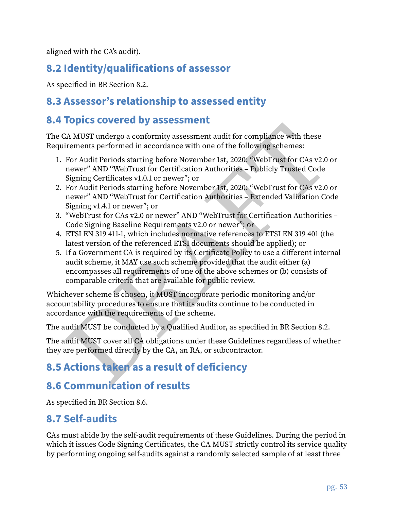aligned with the CA's audit).

# **8.2 Identity/qualifications of assessor**

As specified in BR Section 8.2.

# **8.3 Assessor's relationship to assessed entity**

# <span id="page-53-1"></span>**8.4 Topics covered by assessment**

The CA MUST undergo a conformity assessment audit for compliance with these Requirements performed in accordance with one of the following schemes:

- 1. For Audit Periods starting before November 1st, 2020: "WebTrust for CAs v2.0 or newer" AND "WebTrust for Certification Authorities – Publicly Trusted Code Signing Certificates v1.0.1 or newer"; or
- 2. For Audit Periods starting before November 1st, 2020: "WebTrust for CAs v2.0 or newer" AND "WebTrust for Certification Authorities – Extended Validation Code Signing v1.4.1 or newer"; or
- 3. "WebTrust for CAs v2.0 or newer" AND "WebTrust for Certification Authorities Code Signing Baseline Requirements v2.0 or newer"; or
- <span id="page-53-0"></span>4. ETSI EN 319 411‐1, which includes normative references to ETSI EN 319 401 (the latest version of the referenced ETSI documents should be applied); or
- **EXAINST undergo a conformity assessment and it for compliance with these**<br>
A MUST undergo a conformity assessment and it for compliance with these<br>
From Audit Periods starting before November 1st, 2020; "WebTrust for CAs 5. If a Government CA is required by its Certificate Policy to use a different internal audit scheme, it MAY use such scheme provided that the audit either (a) encompasses all requirements of one of the above schemes or (b) consists of comparable criteria that are available for public review.

Whichever scheme is chosen, it MUST incorporate periodic monitoring and/or accountability procedures to ensure that its audits continue to be conducted in accordance with the requirements of the scheme.

The audit MUST be conducted by a Qualified Auditor, as specified in BR Section 8.2.

The audit MUST cover all CA obligations under these Guidelines regardless of whether they are performed directly by the CA, an RA, or subcontractor.

# **8.5 Actions taken as a result of deficiency**

# **8.6 Communication of results**

As specified in BR Section 8.6.

# **8.7 Self‑audits**

CAs must abide by the self‐audit requirements of these Guidelines. During the period in which it issues Code Signing Certificates, the CA MUST strictly control its service quality by performing ongoing self‐audits against a randomly selected sample of at least three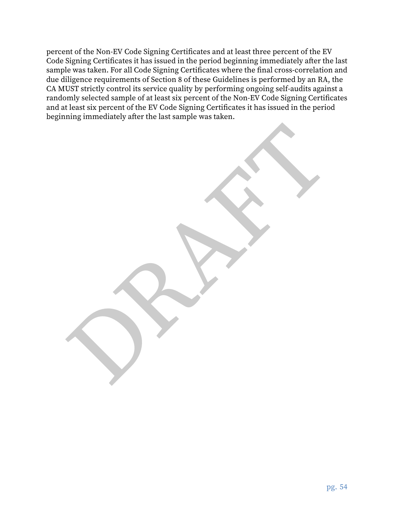percent of the Non‐EV Code Signing Certificates and at least three percent of the EV Code Signing Certificates it has issued in the period beginning immediately after the last sample was taken. For all Code Signing Certificates where the final cross-correlation and due diligence requirements of Section 8 of these Guidelines is performed by an RA, the CA MUST strictly control its service quality by performing ongoing self‐audits against a randomly selected sample of at least six percent of the Non‐EV Code Signing Certificates and at least six percent of the EV Code Signing Certificates it has issued in the period beginning immediately after the last sample was taken.

PRAFT.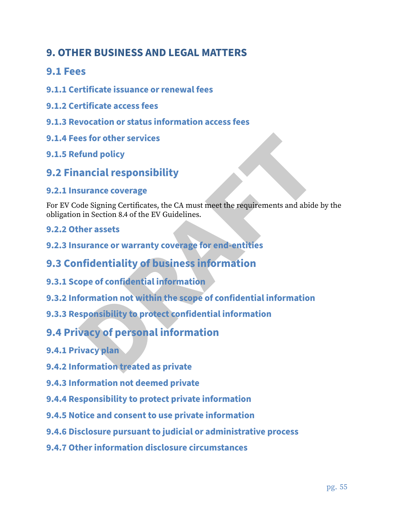# **9. OTHER BUSINESS AND LEGAL MATTERS**

# **9.1 Fees**

- <span id="page-55-0"></span>**9.1.1 Certificate issuance or renewal fees**
- **9.1.2 Certificate access fees**
- **9.1.3 Revocation or status information access fees**
- **9.1.4 Fees for other services**
- **9.1.5 Refund policy**
- **9.2 Financial responsibility**

#### <span id="page-55-1"></span>**9.2.1 Insurance coverage**

es for other services<br>
fund policy<br>
surance coverage<br>
de Signing Certificates, the CA must meet the requirements and abide by the<br>
in Section 8.4 of the EV Guidelines.<br>
surance or warranty coverage for end-entities<br>
suranc For EV Code Signing Certificates, the CA must meet the requirements and abide by the obligation in Section 8.4 of the EV Guidelines.

- **9.2.2 Other assets**
- **9.2.3 Insurance or warranty coverage for end‑entities**
- **9.3 Confidentiality of business information**
- **9.3.1 Scope of confidential information**
- <span id="page-55-2"></span>**9.3.2 Information not within the scope of confidential information**
- **9.3.3 Responsibility to protect confidential information**

# **9.4 Privacy of personal information**

- **9.4.1 Privacy plan**
- <span id="page-55-3"></span>**9.4.2 Information treated as private**
- **9.4.3 Information not deemed private**
- **9.4.4 Responsibility to protect private information**
- **9.4.5 Notice and consent to use private information**
- **9.4.6 Disclosure pursuant to judicial or administrative process**
- **9.4.7 Other information disclosure circumstances**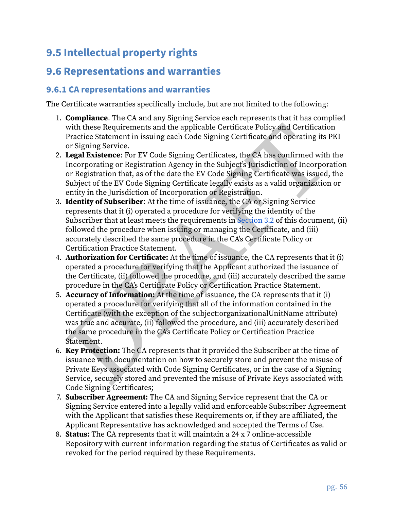# **9.5 Intellectual property rights**

# **9.6 Representations and warranties**

#### **9.6.1 CA representations and warranties**

<span id="page-56-0"></span>The Certificate warranties specifically include, but are not limited to the following:

- 1. **Compliance**. The CA and any Signing Service each represents that it has complied with these Requirements and the applicable Certificate Policy and Certification Practice Statement in issuing each Code Signing Certificate and operating its PKI or Signing Service.
- 2. **Legal Existence**: For EV Code Signing Certificates, the CA has confirmed with the Incorporating or Registration Agency in the Subject's Jurisdiction of Incorporation or Registration that, as of the date the EV Code Signing Certificate was issued, the Subject of the EV Code Signing Certificate legally exists as a valid organization or entity in the Jurisdiction of Incorporation or Registration.
- with these Requirements and the applicable Certificate Policy and Certification Practice Statement in issuing each Code Signing Certificate and operating its PKI corrects Statement in issuing each Code Signing Certificate 3. **Identity of Subscriber**: At the time of issuance, the CA or Signing Service represents that it (i) operated a procedure for verifying the identity of the Subscriber that at least meets the requirements in Section 3.2 of this document, (ii) followed the procedure when issuing or managing the Certificate, and (iii) accurately described the same procedure in the CA's Certificate Policy or Certification Practice Statement.
- 4. **Authorization for Certificate:** At the time of issuance, the CA represents that it (i) operated a procedure for verifying that the Applicant authorized the issuance of the Certificate, (ii) followed the procedure, and (iii) accurately described the same procedure in the CA's Certificate Policy or Certification Practice Statement.
- 5. **Accuracy of Information:** At the time of issuance, the CA represents that it (i) operated a procedure for verifying that all of the information contained in the Certificate (with the exception of the subject:organizationalUnitName attribute) was true and accurate, (ii) followed the procedure, and (iii) accurately described the same procedure in the CA's Certificate Policy or Certification Practice Statement.
- 6. **Key Protection:** The CA represents that it provided the Subscriber at the time of issuance with documentation on how to securely store and prevent the misuse of Private Keys associated with Code Signing Certificates, or in the case of a Signing Service, securely stored and prevented the misuse of Private Keys associated with Code Signing Certificates;
- 7. **Subscriber Agreement:** The CA and Signing Service represent that the CA or Signing Service entered into a legally valid and enforceable Subscriber Agreement with the Applicant that satisfies these Requirements or, if they are affiliated, the Applicant Representative has acknowledged and accepted the Terms of Use.
- 8. **Status:** The CA represents that it will maintain a 24 x 7 online‐accessible Repository with current information regarding the status of Certificates as valid or revoked for the period required by these Requirements.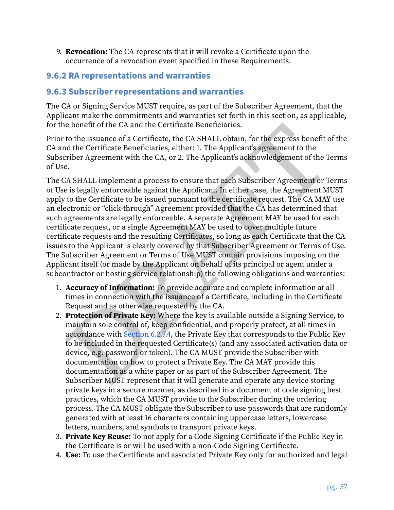<span id="page-57-0"></span>9. **Revocation:** The CA represents that it will revoke a Certificate upon the occurrence of a revocation event specified in these Requirements.

#### **9.6.2 RA representations and warranties**

#### <span id="page-57-1"></span>**9.6.3 Subscriber representations and warranties**

The CA or Signing Service MUST require, as part of the Subscriber Agreement, that the Applicant make the commitments and warranties set forth in this section, as applicable, for the benefit of the CA and the Certificate Beneficiaries.

Prior to the issuance of a Certificate, the CA SHALL obtain, for the express benefit of the CA and the Certificate Beneficiaries, either: 1. The Applicant's agreement to the Subscriber Agreement with the CA, or 2. The Applicant's acknowledgement of the Terms of Use.

e benefit of the CA and the Certificate Beneficiaries.<br>
to the issuace of a Certificate, the CA SHALL dotain, for the express benefit of the<br>
to the issuace of a Certificate, the CA SHALL dotain, for the express benefit of The CA SHALL implement a process to ensure that each Subscriber Agreement or Terms of Use is legally enforceable against the Applicant. In either case, the Agreement MUST apply to the Certificate to be issued pursuant to the certificate request. The CA MAY use an electronic or "click‐through" Agreement provided that the CA has determined that such agreements are legally enforceable. A separate Agreement MAY be used for each certificate request, or a single Agreement MAY be used to cover multiple future certificate requests and the resulting Certificates, so long as each Certificate that the CA issues to the Applicant is clearly covered by that Subscriber Agreement or Terms of Use. The Subscriber Agreement or Terms of Use MUST contain provisions imposing on the Applicant itself (or made by the Applicant on behalf of its principal or agent under a subcontractor or hosting service relationship) the following obligations and warranties:

- 1. **Accuracy of Information:** To provide accurate and complete information at all times in connection with the issuance of a Certificate, including in the Certificate Request and as otherwise requested by the CA.
- 2. **Protection of Private Key:** Where the key is available outside a Signing Service, to maintain sole control of, keep confidential, and properly protect, at all times in accordance with Section 6.2.7.4, the Private Key that corresponds to the Public Key to be included in the requested Certificate(s) (and any associated activation data or device, e.g. password or token). The CA MUST provide the Subscriber with documentation on how to protect a Private Key. The CA MAY provide this documentation as a white paper or as part of the Subscriber Agreement. The Subscriber MUST represent that it will generate and operate any device storing private keys in a secure manner, as described in a document of code signing best practices, which the CA MUST provide to the Subscriber during the ordering process. The CA MUST obligate the Subscriber to use passwords that are randomly generated with at least 16 characters containing uppercase letters, lowercase letters, numbers, and symbols to transport private keys.
- 3. **Private Key Reuse:** To not apply for a Code Signing Certificate if the Public Key in the Certificate is or will be used with a non‐Code Signing Certificate.
- 4. **Use:** To use the Certificate and associated Private Key only for authorized and legal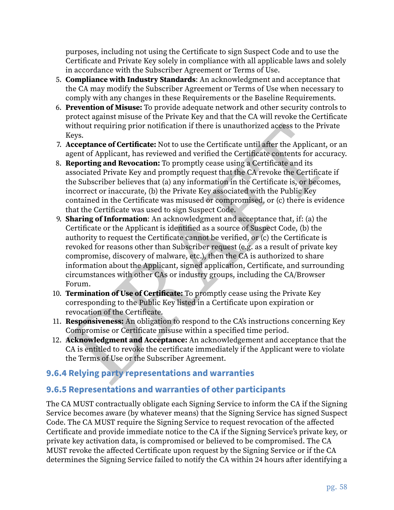purposes, including not using the Certificate to sign Suspect Code and to use the Certificate and Private Key solely in compliance with all applicable laws and solely in accordance with the Subscriber Agreement or Terms of Use.

- 5. **Compliance with Industry Standards**: An acknowledgment and acceptance that the CA may modify the Subscriber Agreement or Terms of Use when necessary to comply with any changes in these Requirements or the Baseline Requirements.
- 6. **Prevention of Misuse:** To provide adequate network and other security controls to protect against misuse of the Private Key and that the CA will revoke the Certificate without requiring prior notification if there is unauthorized access to the Private Keys.
- 7. **Acceptance of Certificate:** Not to use the Certificate until after the Applicant, or an agent of Applicant, has reviewed and verified the Certificate contents for accuracy.
- 8. **Reporting and Revocation:** To promptly cease using a Certificate and its associated Private Key and promptly request that the CA revoke the Certificate if the Subscriber believes that (a) any information in the Certificate is, or becomes, incorrect or inaccurate, (b) the Private Key associated with the Public Key contained in the Certificate was misused or compromised, or (c) there is evidence that the Certificate was used to sign Suspect Code.
- without requiring prior notification if there is unauthorized access to the Private Keys.<br>Acceptance of Certificate: Not to use the Certificate until after the Applicant, or an<br>agent of Applicant, has revived and verifica 9. **Sharing of Information**: An acknowledgment and acceptance that, if: (a) the Certificate or the Applicant is identified as a source of Suspect Code, (b) the authority to request the Certificate cannot be verified, or (c) the Certificate is revoked for reasons other than Subscriber request (e.g. as a result of private key compromise, discovery of malware, etc.), then the CA is authorized to share information about the Applicant, signed application, Certificate, and surrounding circumstances with other CAs or industry groups, including the CA/Browser Forum.
- 10. **Termination of Use of Certificate:** To promptly cease using the Private Key corresponding to the Public Key listed in a Certificate upon expiration or revocation of the Certificate.
- 11. **Responsiveness:** An obligation to respond to the CA's instructions concerning Key Compromise or Certificate misuse within a specified time period.
- <span id="page-58-0"></span>12. **Acknowledgment and Acceptance:** An acknowledgement and acceptance that the CA is entitled to revoke the certificate immediately if the Applicant were to violate the Terms of Use or the Subscriber Agreement.

#### **9.6.4 Relying party representations and warranties**

#### **9.6.5 Representations and warranties of other participants**

The CA MUST contractually obligate each Signing Service to inform the CA if the Signing Service becomes aware (by whatever means) that the Signing Service has signed Suspect Code. The CA MUST require the Signing Service to request revocation of the affected Certificate and provide immediate notice to the CA if the Signing Service's private key, or private key activation data, is compromised or believed to be compromised. The CA MUST revoke the affected Certificate upon request by the Signing Service or if the CA determines the Signing Service failed to notify the CA within 24 hours after identifying a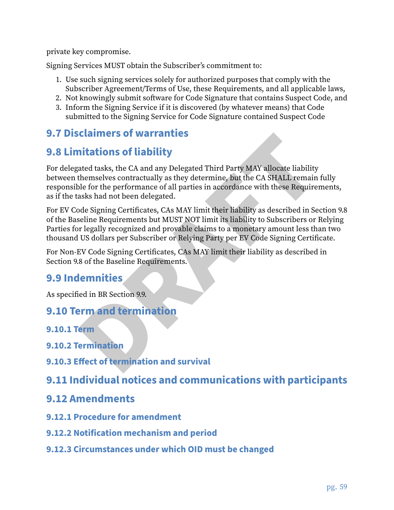private key compromise.

Signing Services MUST obtain the Subscriber's commitment to:

- 1. Use such signing services solely for authorized purposes that comply with the Subscriber Agreement/Terms of Use, these Requirements, and all applicable laws,
- 2. Not knowingly submit software for Code Signature that contains Suspect Code, and
- <span id="page-59-0"></span>3. Inform the Signing Service if it is discovered (by whatever means) that Code submitted to the Signing Service for Code Signature contained Suspect Code

# **9.7 Disclaimers of warranties**

# **9.8 Limitations of liability**

**DRAFT** For delegated tasks, the CA and any Delegated Third Party MAY allocate liability between themselves contractually as they determine, but the CA SHALL remain fully responsible for the performance of all parties in accordance with these Requirements, as if the tasks had not been delegated.

For EV Code Signing Certificates, CAs MAY limit their liability as described in Section 9.8 of the Baseline Requirements but MUST NOT limit its liability to Subscribers or Relying Parties for legally recognized and provable claims to a monetary amount less than two thousand US dollars per Subscriber or Relying Party per EV Code Signing Certificate.

For Non‐EV Code Signing Certificates, CAs MAY limit their liability as described in Section 9.8 of the Baseline Requirements.

# **9.9 Indemnities**

As specified in BR Section 9.9.

- **9.10 Term and termination**
- **9.10.1 Term**
- <span id="page-59-1"></span>**9.10.2 Termination**
- **9.10.3 Effect of termination and survival**

# **9.11 Individual notices and communications with participants**

#### **9.12 Amendments**

- **9.12.1 Procedure for amendment**
- <span id="page-59-2"></span>**9.12.2 Notification mechanism and period**
- **9.12.3 Circumstances under which OID must be changed**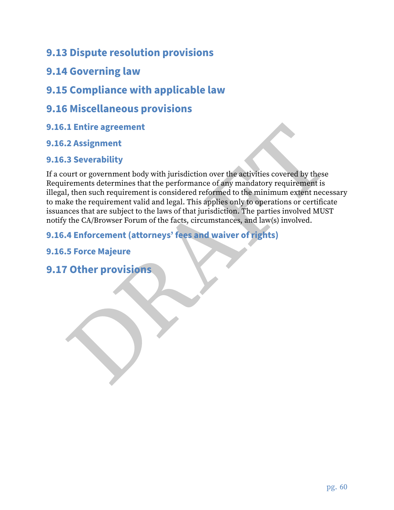# **9.13 Dispute resolution provisions**

- **9.14 Governing law**
- **9.15 Compliance with applicable law**
- **9.16 Miscellaneous provisions**
- **9.16.1 Entire agreement**
- <span id="page-60-0"></span>**9.16.2 Assignment**

#### **9.16.3 Severability**

1. Entire agreement<br>
2. Assignment<br>
2. Assignment<br>
3. Severability<br>
burt or government body with jurisdiction over the activities covered by these<br>
the mean determines that the performance of any mandatory requirement is<br> If a court or government body with jurisdiction over the activities covered by these Requirements determines that the performance of any mandatory requirement is illegal, then such requirement is considered reformed to the minimum extent necessary to make the requirement valid and legal. This applies only to operations or certificate issuances that are subject to the laws of that jurisdiction. The parties involved MUST notify the CA/Browser Forum of the facts, circumstances, and law(s) involved.

**9.16.4 Enforcement (attorneys' fees and waiver of rights)**

**9.16.5 Force Majeure**

# **9.17 Other provisions**